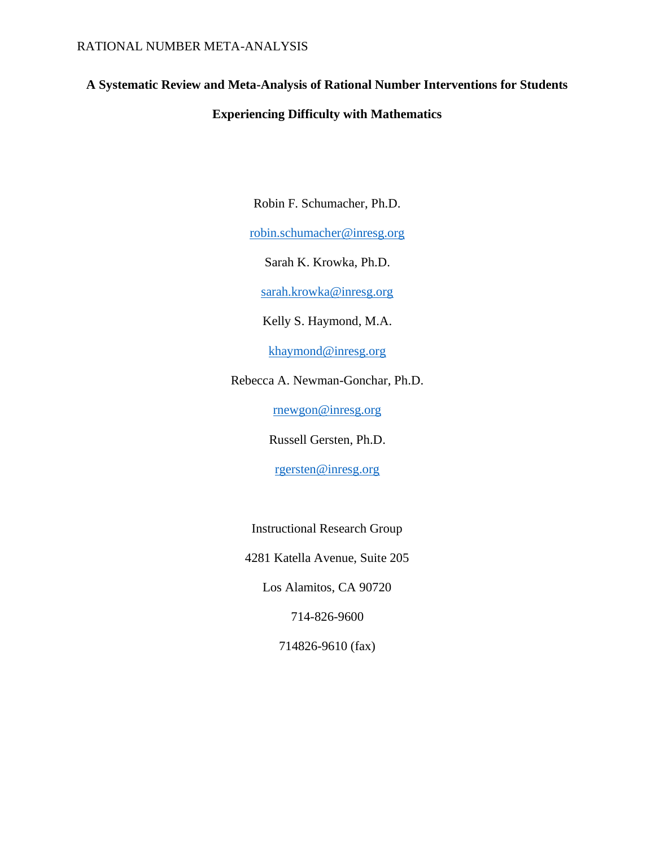# **A Systematic Review and Meta-Analysis of Rational Number Interventions for Students**

# **Experiencing Difficulty with Mathematics**

Robin F. Schumacher, Ph.D.

[robin.schumacher@inresg.org](mailto:robin.schumacher@inresg.org)

Sarah K. Krowka, Ph.D.

[sarah.krowka@inresg.org](mailto:Sarah@inresg.org)

Kelly S. Haymond, M.A.

[khaymond@inresg.org](mailto:khaymond@inresg.org)

Rebecca A. Newman-Gonchar, Ph.D.

[rnewgon@inresg.org](mailto:rnewgon@inresg.org)

Russell Gersten, Ph.D.

[rgersten@inresg.org](mailto:rgersten@inresg.org)

Instructional Research Group

4281 Katella Avenue, Suite 205

Los Alamitos, CA 90720

714-826-9600

714826-9610 (fax)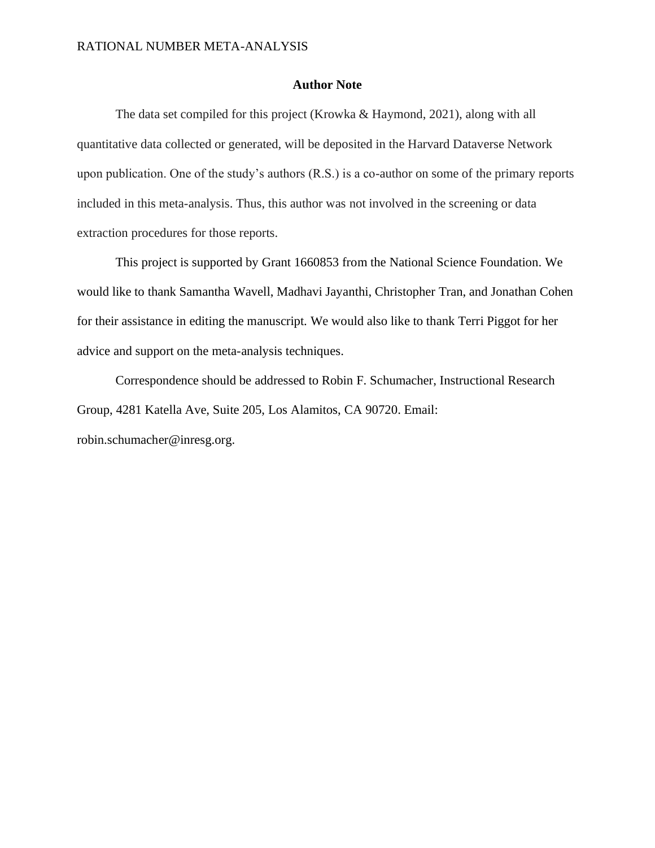# **Author Note**

The data set compiled for this project (Krowka & Haymond, 2021), along with all quantitative data collected or generated, will be deposited in the Harvard Dataverse Network upon publication. One of the study's authors (R.S.) is a co-author on some of the primary reports included in this meta-analysis. Thus, this author was not involved in the screening or data extraction procedures for those reports.

This project is supported by Grant 1660853 from the National Science Foundation. We would like to thank Samantha Wavell, Madhavi Jayanthi, Christopher Tran, and Jonathan Cohen for their assistance in editing the manuscript. We would also like to thank Terri Piggot for her advice and support on the meta-analysis techniques.

Correspondence should be addressed to Robin F. Schumacher, Instructional Research Group, 4281 Katella Ave, Suite 205, Los Alamitos, CA 90720. Email: robin.schumacher@inresg.org.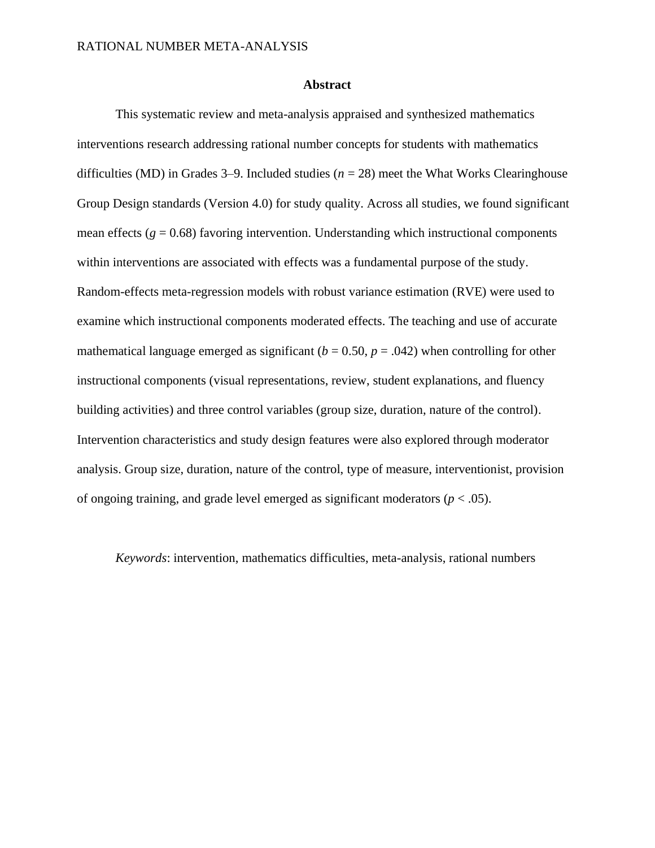## **Abstract**

This systematic review and meta-analysis appraised and synthesized mathematics interventions research addressing rational number concepts for students with mathematics difficulties (MD) in Grades 3–9. Included studies (*n* = 28) meet the What Works Clearinghouse Group Design standards (Version 4.0) for study quality. Across all studies, we found significant mean effects ( $g = 0.68$ ) favoring intervention. Understanding which instructional components within interventions are associated with effects was a fundamental purpose of the study. Random-effects meta-regression models with robust variance estimation (RVE) were used to examine which instructional components moderated effects. The teaching and use of accurate mathematical language emerged as significant  $(b = 0.50, p = .042)$  when controlling for other instructional components (visual representations, review, student explanations, and fluency building activities) and three control variables (group size, duration, nature of the control). Intervention characteristics and study design features were also explored through moderator analysis. Group size, duration, nature of the control, type of measure, interventionist, provision of ongoing training, and grade level emerged as significant moderators (*p* < .05).

*Keywords*: intervention, mathematics difficulties, meta-analysis, rational numbers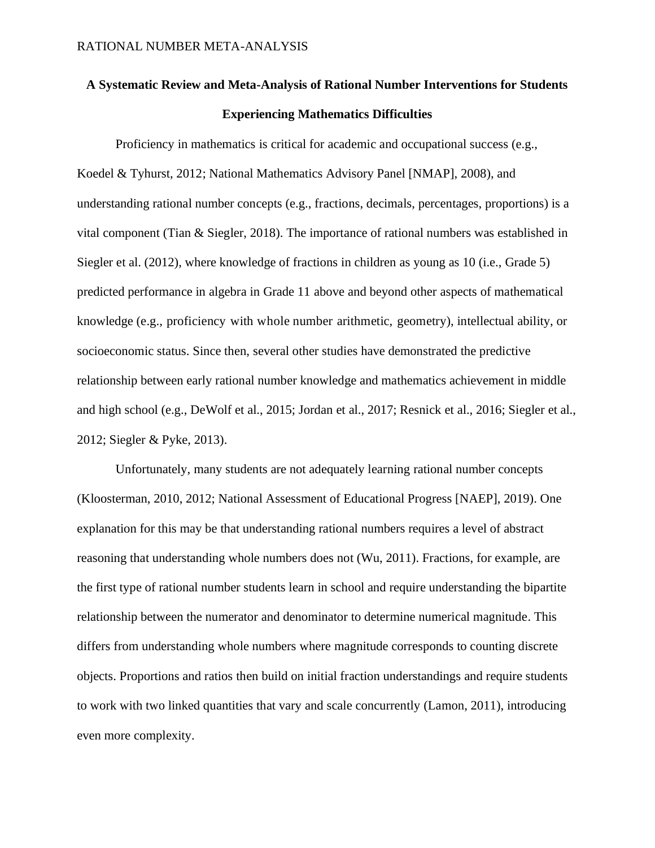# **A Systematic Review and Meta-Analysis of Rational Number Interventions for Students Experiencing Mathematics Difficulties**

Proficiency in mathematics is critical for academic and occupational success (e.g., Koedel & Tyhurst, 2012; National Mathematics Advisory Panel [NMAP], 2008), and understanding rational number concepts (e.g., fractions, decimals, percentages, proportions) is a vital component (Tian & Siegler, 2018). The importance of rational numbers was established in Siegler et al. (2012), where knowledge of fractions in children as young as 10 (i.e., Grade 5) predicted performance in algebra in Grade 11 above and beyond other aspects of mathematical knowledge (e.g., proficiency with whole number arithmetic, geometry), intellectual ability, or socioeconomic status. Since then, several other studies have demonstrated the predictive relationship between early rational number knowledge and mathematics achievement in middle and high school (e.g., DeWolf et al., 2015; Jordan et al., 2017; Resnick et al., 2016; Siegler et al., 2012; Siegler & Pyke, 2013).

Unfortunately, many students are not adequately learning rational number concepts (Kloosterman, 2010, 2012; National Assessment of Educational Progress [NAEP], 2019). One explanation for this may be that understanding rational numbers requires a level of abstract reasoning that understanding whole numbers does not (Wu, 2011). Fractions, for example, are the first type of rational number students learn in school and require understanding the bipartite relationship between the numerator and denominator to determine numerical magnitude. This differs from understanding whole numbers where magnitude corresponds to counting discrete objects. Proportions and ratios then build on initial fraction understandings and require students to work with two linked quantities that vary and scale concurrently (Lamon, 2011), introducing even more complexity.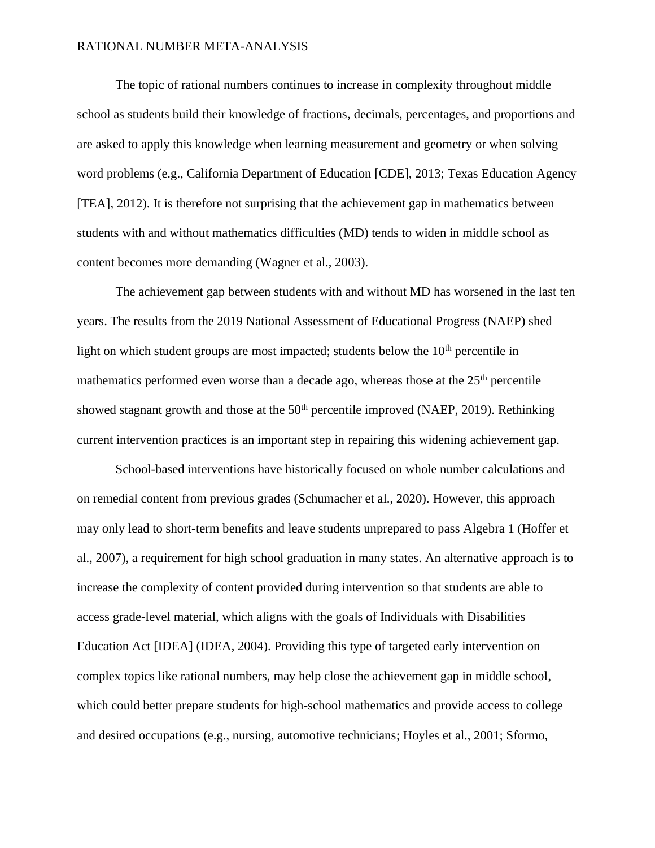The topic of rational numbers continues to increase in complexity throughout middle school as students build their knowledge of fractions, decimals, percentages, and proportions and are asked to apply this knowledge when learning measurement and geometry or when solving word problems (e.g., California Department of Education [CDE], 2013; Texas Education Agency [TEA], 2012). It is therefore not surprising that the achievement gap in mathematics between students with and without mathematics difficulties (MD) tends to widen in middle school as content becomes more demanding (Wagner et al., 2003).

The achievement gap between students with and without MD has worsened in the last ten years. The results from the 2019 National Assessment of Educational Progress (NAEP) shed light on which student groups are most impacted; students below the  $10<sup>th</sup>$  percentile in mathematics performed even worse than a decade ago, whereas those at the  $25<sup>th</sup>$  percentile showed stagnant growth and those at the  $50<sup>th</sup>$  percentile improved (NAEP, 2019). Rethinking current intervention practices is an important step in repairing this widening achievement gap.

School-based interventions have historically focused on whole number calculations and on remedial content from previous grades (Schumacher et al., 2020). However, this approach may only lead to short-term benefits and leave students unprepared to pass Algebra 1 (Hoffer et al., 2007), a requirement for high school graduation in many states. An alternative approach is to increase the complexity of content provided during intervention so that students are able to access grade-level material, which aligns with the goals of Individuals with Disabilities Education Act [IDEA] (IDEA, 2004). Providing this type of targeted early intervention on complex topics like rational numbers, may help close the achievement gap in middle school, which could better prepare students for high-school mathematics and provide access to college and desired occupations (e.g., nursing, automotive technicians; Hoyles et al., 2001; Sformo,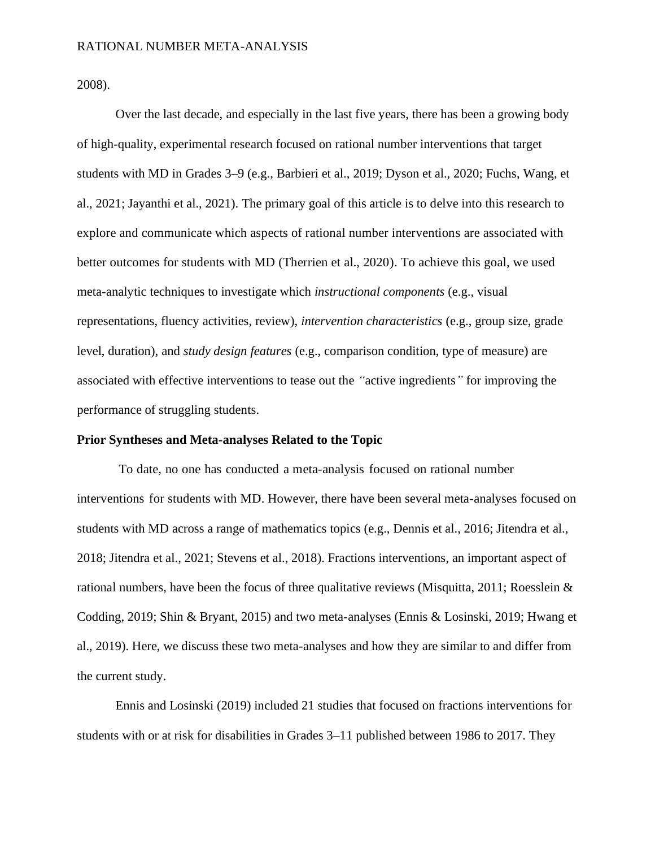2008).

Over the last decade, and especially in the last five years, there has been a growing body of high-quality, experimental research focused on rational number interventions that target students with MD in Grades 3–9 (e.g., Barbieri et al., 2019; Dyson et al., 2020; Fuchs, Wang, et al., 2021; Jayanthi et al., 2021). The primary goal of this article is to delve into this research to explore and communicate which aspects of rational number interventions are associated with better outcomes for students with MD (Therrien et al., 2020). To achieve this goal, we used meta-analytic techniques to investigate which *instructional components* (e.g., visual representations, fluency activities, review), *intervention characteristics* (e.g., group size, grade level, duration), and *study design features* (e.g., comparison condition, type of measure) are associated with effective interventions to tease out the *"*active ingredients*"* for improving the performance of struggling students.

#### **Prior Syntheses and Meta-analyses Related to the Topic**

To date, no one has conducted a meta-analysis focused on rational number interventions for students with MD. However, there have been several meta-analyses focused on students with MD across a range of mathematics topics (e.g., Dennis et al., 2016; Jitendra et al., 2018; Jitendra et al., 2021; Stevens et al., 2018). Fractions interventions, an important aspect of rational numbers, have been the focus of three qualitative reviews (Misquitta, 2011; Roesslein  $\&$ Codding, 2019; Shin & Bryant, 2015) and two meta-analyses (Ennis & Losinski, 2019; Hwang et al., 2019). Here, we discuss these two meta-analyses and how they are similar to and differ from the current study.

Ennis and Losinski (2019) included 21 studies that focused on fractions interventions for students with or at risk for disabilities in Grades 3–11 published between 1986 to 2017. They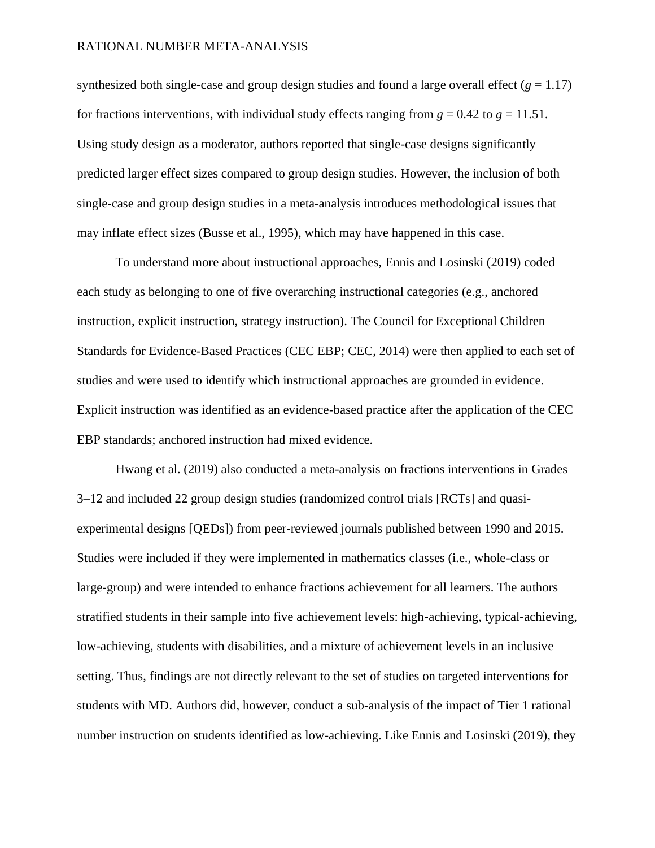synthesized both single-case and group design studies and found a large overall effect  $(g = 1.17)$ for fractions interventions, with individual study effects ranging from  $g = 0.42$  to  $g = 11.51$ . Using study design as a moderator, authors reported that single-case designs significantly predicted larger effect sizes compared to group design studies. However, the inclusion of both single-case and group design studies in a meta-analysis introduces methodological issues that may inflate effect sizes (Busse et al., 1995), which may have happened in this case.

To understand more about instructional approaches, Ennis and Losinski (2019) coded each study as belonging to one of five overarching instructional categories (e.g., anchored instruction, explicit instruction, strategy instruction). The Council for Exceptional Children Standards for Evidence-Based Practices (CEC EBP; CEC, 2014) were then applied to each set of studies and were used to identify which instructional approaches are grounded in evidence. Explicit instruction was identified as an evidence-based practice after the application of the CEC EBP standards; anchored instruction had mixed evidence.

Hwang et al. (2019) also conducted a meta-analysis on fractions interventions in Grades 3–12 and included 22 group design studies (randomized control trials [RCTs] and quasiexperimental designs [QEDs]) from peer-reviewed journals published between 1990 and 2015. Studies were included if they were implemented in mathematics classes (i.e., whole-class or large-group) and were intended to enhance fractions achievement for all learners. The authors stratified students in their sample into five achievement levels: high-achieving, typical-achieving, low-achieving, students with disabilities, and a mixture of achievement levels in an inclusive setting. Thus, findings are not directly relevant to the set of studies on targeted interventions for students with MD. Authors did, however, conduct a sub-analysis of the impact of Tier 1 rational number instruction on students identified as low-achieving. Like Ennis and Losinski (2019), they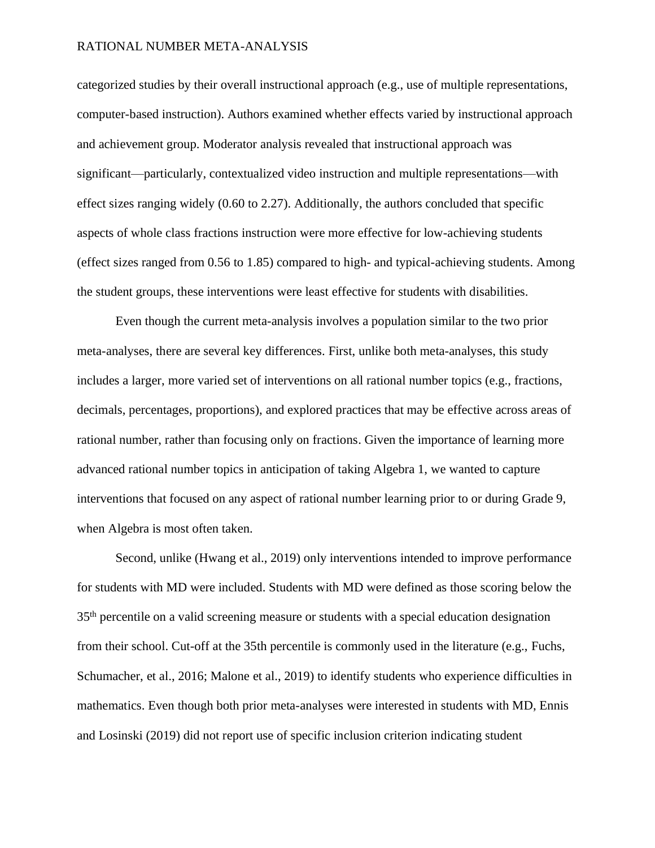categorized studies by their overall instructional approach (e.g., use of multiple representations, computer-based instruction). Authors examined whether effects varied by instructional approach and achievement group. Moderator analysis revealed that instructional approach was significant—particularly, contextualized video instruction and multiple representations—with effect sizes ranging widely (0.60 to 2.27). Additionally, the authors concluded that specific aspects of whole class fractions instruction were more effective for low-achieving students (effect sizes ranged from 0.56 to 1.85) compared to high- and typical-achieving students. Among the student groups, these interventions were least effective for students with disabilities.

Even though the current meta-analysis involves a population similar to the two prior meta-analyses, there are several key differences. First, unlike both meta-analyses, this study includes a larger, more varied set of interventions on all rational number topics (e.g., fractions, decimals, percentages, proportions), and explored practices that may be effective across areas of rational number, rather than focusing only on fractions. Given the importance of learning more advanced rational number topics in anticipation of taking Algebra 1, we wanted to capture interventions that focused on any aspect of rational number learning prior to or during Grade 9, when Algebra is most often taken.

Second, unlike (Hwang et al., 2019) only interventions intended to improve performance for students with MD were included. Students with MD were defined as those scoring below the 35th percentile on a valid screening measure or students with a special education designation from their school. Cut-off at the 35th percentile is commonly used in the literature (e.g., Fuchs, Schumacher, et al., 2016; Malone et al., 2019) to identify students who experience difficulties in mathematics. Even though both prior meta-analyses were interested in students with MD, Ennis and Losinski (2019) did not report use of specific inclusion criterion indicating student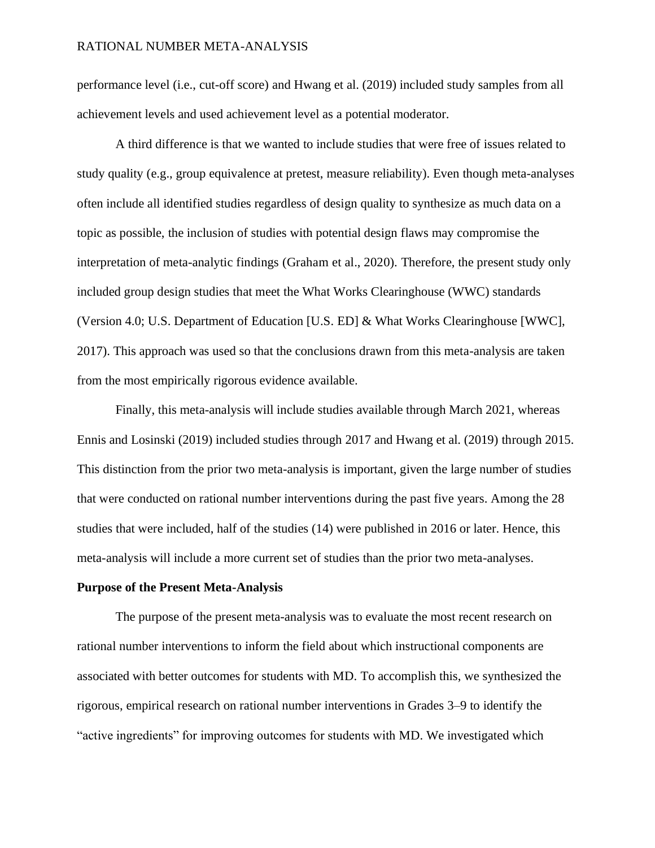performance level (i.e., cut-off score) and Hwang et al. (2019) included study samples from all achievement levels and used achievement level as a potential moderator.

A third difference is that we wanted to include studies that were free of issues related to study quality (e.g., group equivalence at pretest, measure reliability). Even though meta-analyses often include all identified studies regardless of design quality to synthesize as much data on a topic as possible, the inclusion of studies with potential design flaws may compromise the interpretation of meta-analytic findings (Graham et al., 2020). Therefore, the present study only included group design studies that meet the What Works Clearinghouse (WWC) standards (Version 4.0; U.S. Department of Education [U.S. ED] & What Works Clearinghouse [WWC], 2017). This approach was used so that the conclusions drawn from this meta-analysis are taken from the most empirically rigorous evidence available.

Finally, this meta-analysis will include studies available through March 2021, whereas Ennis and Losinski (2019) included studies through 2017 and Hwang et al. (2019) through 2015. This distinction from the prior two meta-analysis is important, given the large number of studies that were conducted on rational number interventions during the past five years. Among the 28 studies that were included, half of the studies (14) were published in 2016 or later. Hence, this meta-analysis will include a more current set of studies than the prior two meta-analyses.

# **Purpose of the Present Meta-Analysis**

The purpose of the present meta-analysis was to evaluate the most recent research on rational number interventions to inform the field about which instructional components are associated with better outcomes for students with MD. To accomplish this, we synthesized the rigorous, empirical research on rational number interventions in Grades 3–9 to identify the "active ingredients" for improving outcomes for students with MD. We investigated which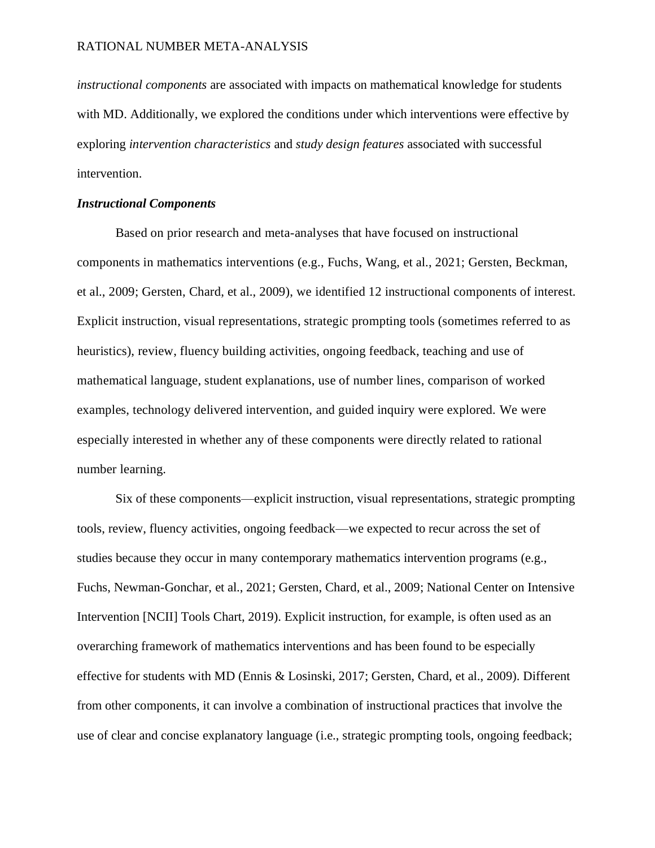*instructional components* are associated with impacts on mathematical knowledge for students with MD. Additionally, we explored the conditions under which interventions were effective by exploring *intervention characteristics* and *study design features* associated with successful intervention.

# *Instructional Components*

Based on prior research and meta-analyses that have focused on instructional components in mathematics interventions (e.g., Fuchs, Wang, et al., 2021; Gersten, Beckman, et al., 2009; Gersten, Chard, et al., 2009), we identified 12 instructional components of interest. Explicit instruction, visual representations, strategic prompting tools (sometimes referred to as heuristics), review, fluency building activities, ongoing feedback, teaching and use of mathematical language, student explanations, use of number lines, comparison of worked examples, technology delivered intervention, and guided inquiry were explored. We were especially interested in whether any of these components were directly related to rational number learning.

Six of these components—explicit instruction, visual representations, strategic prompting tools, review, fluency activities, ongoing feedback—we expected to recur across the set of studies because they occur in many contemporary mathematics intervention programs (e.g., Fuchs, Newman-Gonchar, et al., 2021; Gersten, Chard, et al., 2009; National Center on Intensive Intervention [NCII] Tools Chart, 2019). Explicit instruction, for example, is often used as an overarching framework of mathematics interventions and has been found to be especially effective for students with MD (Ennis & Losinski, 2017; Gersten, Chard, et al., 2009). Different from other components, it can involve a combination of instructional practices that involve the use of clear and concise explanatory language (i.e., strategic prompting tools, ongoing feedback;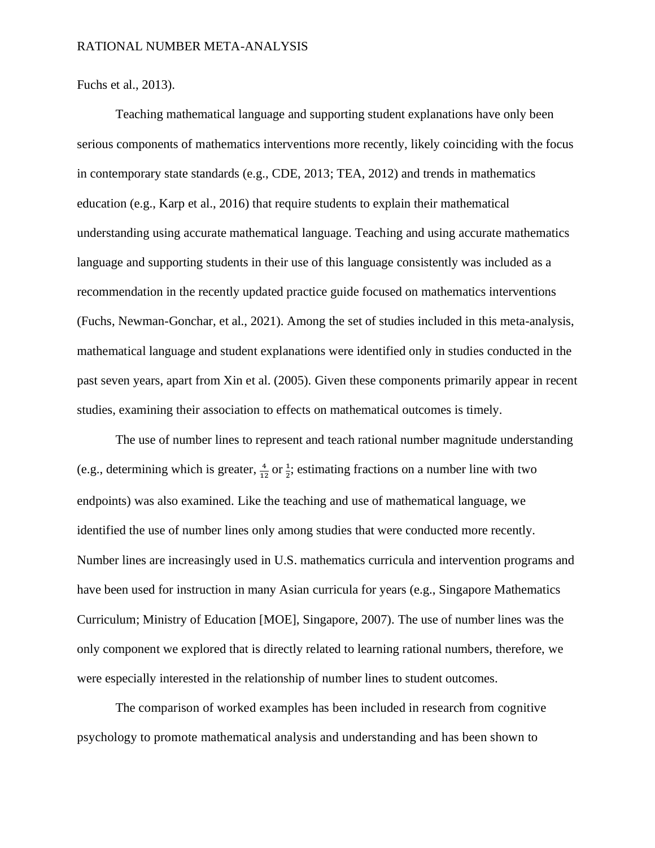Fuchs et al., 2013).

Teaching mathematical language and supporting student explanations have only been serious components of mathematics interventions more recently, likely coinciding with the focus in contemporary state standards (e.g., CDE, 2013; TEA, 2012) and trends in mathematics education (e.g., Karp et al., 2016) that require students to explain their mathematical understanding using accurate mathematical language. Teaching and using accurate mathematics language and supporting students in their use of this language consistently was included as a recommendation in the recently updated practice guide focused on mathematics interventions (Fuchs, Newman-Gonchar, et al., 2021). Among the set of studies included in this meta-analysis, mathematical language and student explanations were identified only in studies conducted in the past seven years, apart from Xin et al. (2005). Given these components primarily appear in recent studies, examining their association to effects on mathematical outcomes is timely.

The use of number lines to represent and teach rational number magnitude understanding (e.g., determining which is greater,  $\frac{4}{12}$  or  $\frac{1}{2}$ ; estimating fractions on a number line with two endpoints) was also examined. Like the teaching and use of mathematical language, we identified the use of number lines only among studies that were conducted more recently. Number lines are increasingly used in U.S. mathematics curricula and intervention programs and have been used for instruction in many Asian curricula for years (e.g., Singapore Mathematics Curriculum; Ministry of Education [MOE], Singapore, 2007). The use of number lines was the only component we explored that is directly related to learning rational numbers, therefore, we were especially interested in the relationship of number lines to student outcomes.

The comparison of worked examples has been included in research from cognitive psychology to promote mathematical analysis and understanding and has been shown to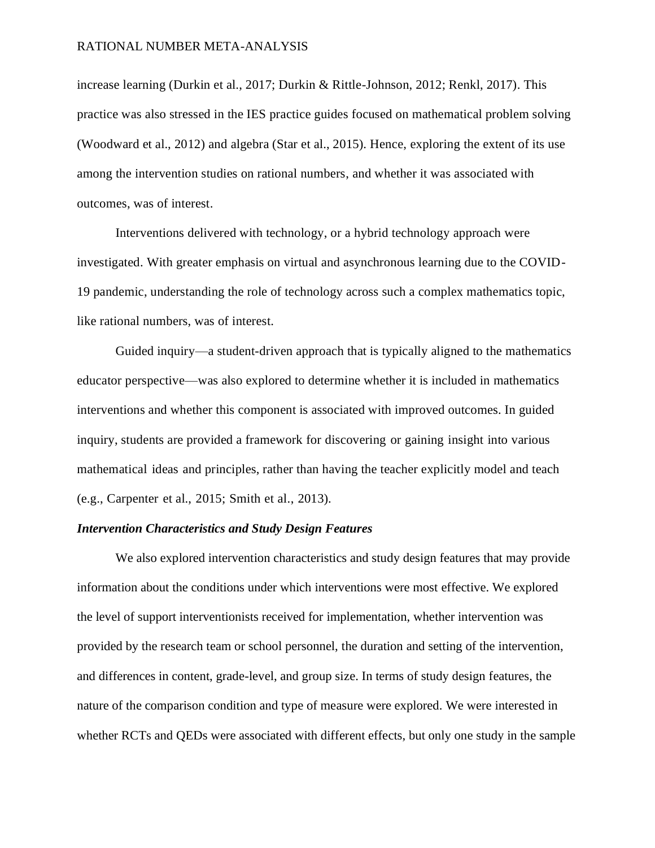increase learning (Durkin et al., 2017; Durkin & Rittle-Johnson, 2012; Renkl, 2017). This practice was also stressed in the IES practice guides focused on mathematical problem solving (Woodward et al., 2012) and algebra (Star et al., 2015). Hence, exploring the extent of its use among the intervention studies on rational numbers, and whether it was associated with outcomes, was of interest.

Interventions delivered with technology, or a hybrid technology approach were investigated. With greater emphasis on virtual and asynchronous learning due to the COVID-19 pandemic, understanding the role of technology across such a complex mathematics topic, like rational numbers, was of interest.

Guided inquiry—a student-driven approach that is typically aligned to the mathematics educator perspective—was also explored to determine whether it is included in mathematics interventions and whether this component is associated with improved outcomes. In guided inquiry, students are provided a framework for discovering or gaining insight into various mathematical ideas and principles, rather than having the teacher explicitly model and teach (e.g., Carpenter et al., 2015; Smith et al., 2013).

# *Intervention Characteristics and Study Design Features*

We also explored intervention characteristics and study design features that may provide information about the conditions under which interventions were most effective. We explored the level of support interventionists received for implementation, whether intervention was provided by the research team or school personnel, the duration and setting of the intervention, and differences in content, grade-level, and group size. In terms of study design features, the nature of the comparison condition and type of measure were explored. We were interested in whether RCTs and QEDs were associated with different effects, but only one study in the sample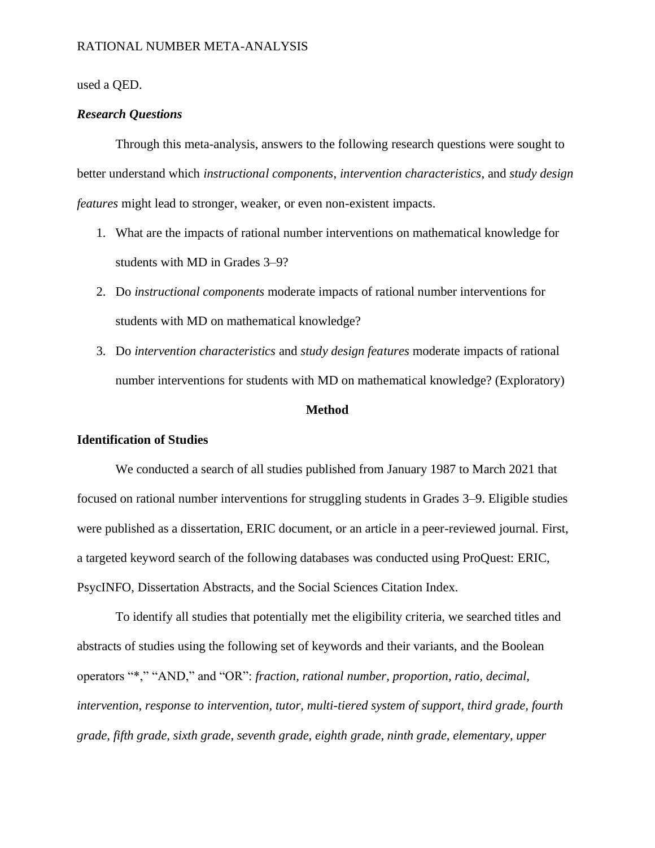# used a QED.

# *Research Questions*

Through this meta-analysis, answers to the following research questions were sought to better understand which *instructional components*, *intervention characteristics*, and *study design features* might lead to stronger, weaker, or even non-existent impacts.

- 1. What are the impacts of rational number interventions on mathematical knowledge for students with MD in Grades 3–9?
- 2. Do *instructional components* moderate impacts of rational number interventions for students with MD on mathematical knowledge?
- 3. Do *intervention characteristics* and *study design features* moderate impacts of rational number interventions for students with MD on mathematical knowledge? (Exploratory)

# **Method**

## **Identification of Studies**

We conducted a search of all studies published from January 1987 to March 2021 that focused on rational number interventions for struggling students in Grades 3–9. Eligible studies were published as a dissertation, ERIC document, or an article in a peer-reviewed journal. First, a targeted keyword search of the following databases was conducted using ProQuest: ERIC, PsycINFO, Dissertation Abstracts, and the Social Sciences Citation Index.

To identify all studies that potentially met the eligibility criteria, we searched titles and abstracts of studies using the following set of keywords and their variants, and the Boolean operators "\*," "AND," and "OR": *fraction, rational number, proportion, ratio, decimal, intervention, response to intervention, tutor, multi-tiered system of support, third grade, fourth grade, fifth grade, sixth grade, seventh grade, eighth grade, ninth grade, elementary, upper*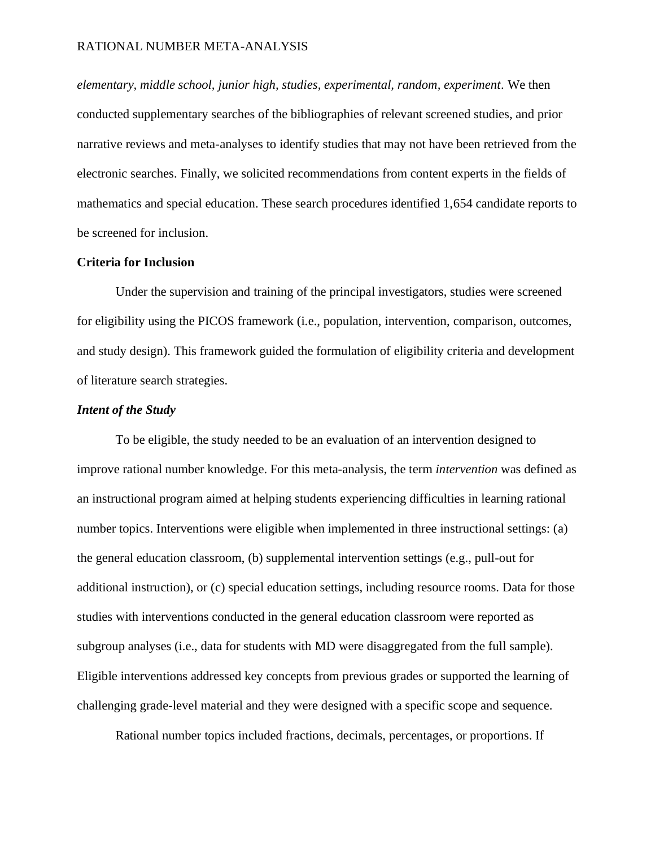*elementary, middle school, junior high, studies, experimental, random, experiment*. We then conducted supplementary searches of the bibliographies of relevant screened studies, and prior narrative reviews and meta-analyses to identify studies that may not have been retrieved from the electronic searches. Finally, we solicited recommendations from content experts in the fields of mathematics and special education. These search procedures identified 1,654 candidate reports to be screened for inclusion.

# **Criteria for Inclusion**

Under the supervision and training of the principal investigators, studies were screened for eligibility using the PICOS framework (i.e., population, intervention, comparison, outcomes, and study design). This framework guided the formulation of eligibility criteria and development of literature search strategies.

# *Intent of the Study*

To be eligible, the study needed to be an evaluation of an intervention designed to improve rational number knowledge. For this meta-analysis, the term *intervention* was defined as an instructional program aimed at helping students experiencing difficulties in learning rational number topics. Interventions were eligible when implemented in three instructional settings: (a) the general education classroom, (b) supplemental intervention settings (e.g., pull-out for additional instruction), or (c) special education settings, including resource rooms. Data for those studies with interventions conducted in the general education classroom were reported as subgroup analyses (i.e., data for students with MD were disaggregated from the full sample). Eligible interventions addressed key concepts from previous grades or supported the learning of challenging grade-level material and they were designed with a specific scope and sequence.

Rational number topics included fractions, decimals, percentages, or proportions. If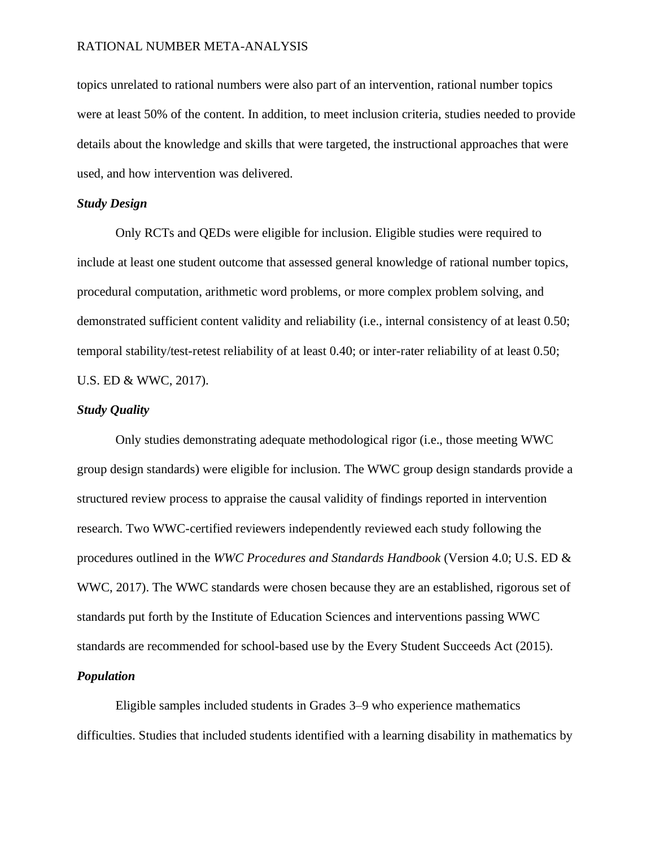topics unrelated to rational numbers were also part of an intervention, rational number topics were at least 50% of the content. In addition, to meet inclusion criteria, studies needed to provide details about the knowledge and skills that were targeted, the instructional approaches that were used, and how intervention was delivered.

# *Study Design*

Only RCTs and QEDs were eligible for inclusion. Eligible studies were required to include at least one student outcome that assessed general knowledge of rational number topics, procedural computation, arithmetic word problems, or more complex problem solving, and demonstrated sufficient content validity and reliability (i.e., internal consistency of at least 0.50; temporal stability/test-retest reliability of at least 0.40; or inter-rater reliability of at least 0.50; U.S. ED & WWC, 2017).

# *Study Quality*

Only studies demonstrating adequate methodological rigor (i.e., those meeting WWC group design standards) were eligible for inclusion. The WWC group design standards provide a structured review process to appraise the causal validity of findings reported in intervention research. Two WWC-certified reviewers independently reviewed each study following the procedures outlined in the *WWC Procedures and Standards Handbook* (Version 4.0; U.S. ED & WWC, 2017). The WWC standards were chosen because they are an established, rigorous set of standards put forth by the Institute of Education Sciences and interventions passing WWC standards are recommended for school-based use by the Every Student Succeeds Act (2015). *Population*

Eligible samples included students in Grades 3–9 who experience mathematics difficulties. Studies that included students identified with a learning disability in mathematics by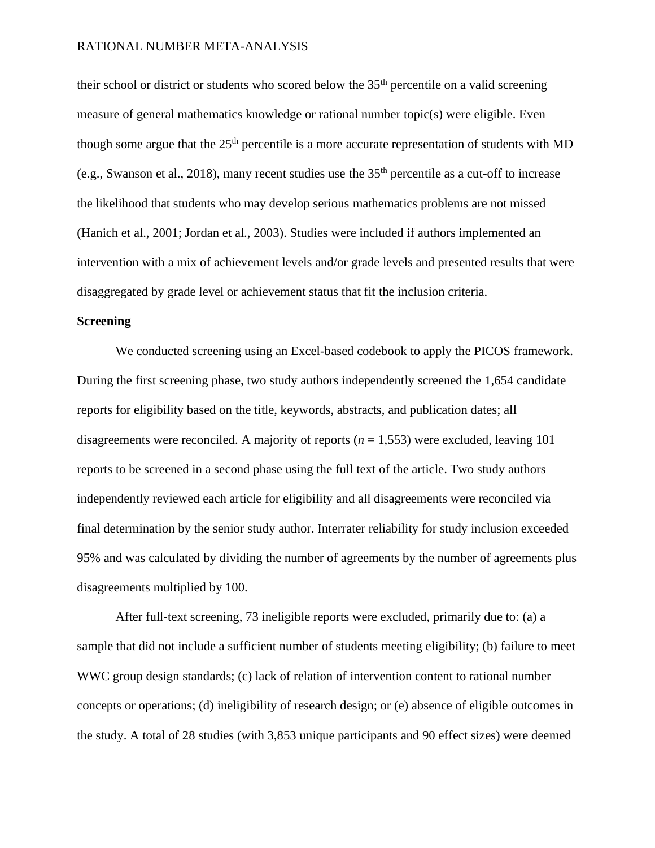their school or district or students who scored below the 35th percentile on a valid screening measure of general mathematics knowledge or rational number topic(s) were eligible. Even though some argue that the  $25<sup>th</sup>$  percentile is a more accurate representation of students with MD (e.g., Swanson et al., 2018), many recent studies use the 35th percentile as a cut-off to increase the likelihood that students who may develop serious mathematics problems are not missed (Hanich et al., 2001; Jordan et al., 2003). Studies were included if authors implemented an intervention with a mix of achievement levels and/or grade levels and presented results that were disaggregated by grade level or achievement status that fit the inclusion criteria.

# **Screening**

We conducted screening using an Excel-based codebook to apply the PICOS framework. During the first screening phase, two study authors independently screened the 1,654 candidate reports for eligibility based on the title, keywords, abstracts, and publication dates; all disagreements were reconciled. A majority of reports  $(n = 1.553)$  were excluded, leaving 101 reports to be screened in a second phase using the full text of the article. Two study authors independently reviewed each article for eligibility and all disagreements were reconciled via final determination by the senior study author. Interrater reliability for study inclusion exceeded 95% and was calculated by dividing the number of agreements by the number of agreements plus disagreements multiplied by 100.

After full-text screening, 73 ineligible reports were excluded, primarily due to: (a) a sample that did not include a sufficient number of students meeting eligibility; (b) failure to meet WWC group design standards; (c) lack of relation of intervention content to rational number concepts or operations; (d) ineligibility of research design; or (e) absence of eligible outcomes in the study. A total of 28 studies (with 3,853 unique participants and 90 effect sizes) were deemed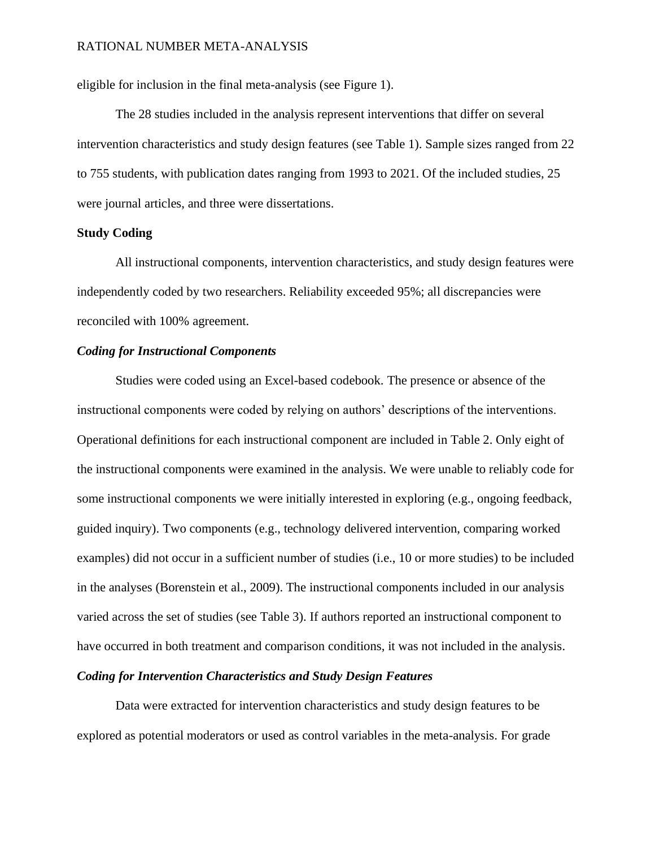eligible for inclusion in the final meta-analysis (see Figure 1).

The 28 studies included in the analysis represent interventions that differ on several intervention characteristics and study design features (see Table 1). Sample sizes ranged from 22 to 755 students, with publication dates ranging from 1993 to 2021. Of the included studies, 25 were journal articles, and three were dissertations.

# **Study Coding**

All instructional components, intervention characteristics, and study design features were independently coded by two researchers. Reliability exceeded 95%; all discrepancies were reconciled with 100% agreement.

# *Coding for Instructional Components*

Studies were coded using an Excel-based codebook. The presence or absence of the instructional components were coded by relying on authors' descriptions of the interventions. Operational definitions for each instructional component are included in Table 2. Only eight of the instructional components were examined in the analysis. We were unable to reliably code for some instructional components we were initially interested in exploring (e.g., ongoing feedback, guided inquiry). Two components (e.g., technology delivered intervention, comparing worked examples) did not occur in a sufficient number of studies (i.e., 10 or more studies) to be included in the analyses (Borenstein et al., 2009). The instructional components included in our analysis varied across the set of studies (see Table 3). If authors reported an instructional component to have occurred in both treatment and comparison conditions, it was not included in the analysis.

## *Coding for Intervention Characteristics and Study Design Features*

Data were extracted for intervention characteristics and study design features to be explored as potential moderators or used as control variables in the meta-analysis. For grade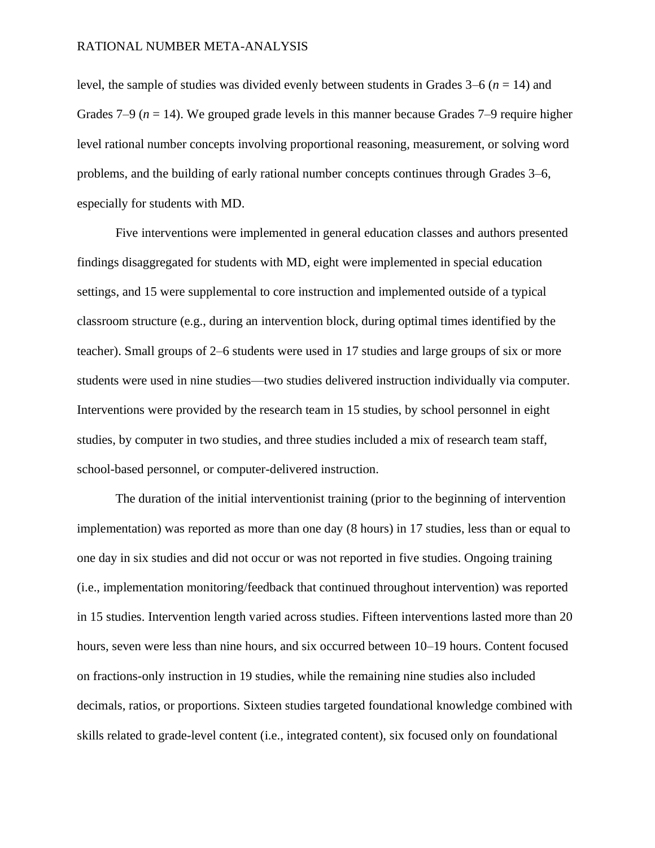level, the sample of studies was divided evenly between students in Grades 3–6 (*n* = 14) and Grades 7–9 ( $n = 14$ ). We grouped grade levels in this manner because Grades 7–9 require higher level rational number concepts involving proportional reasoning, measurement, or solving word problems, and the building of early rational number concepts continues through Grades 3–6, especially for students with MD.

Five interventions were implemented in general education classes and authors presented findings disaggregated for students with MD, eight were implemented in special education settings, and 15 were supplemental to core instruction and implemented outside of a typical classroom structure (e.g., during an intervention block, during optimal times identified by the teacher). Small groups of 2–6 students were used in 17 studies and large groups of six or more students were used in nine studies—two studies delivered instruction individually via computer. Interventions were provided by the research team in 15 studies, by school personnel in eight studies, by computer in two studies, and three studies included a mix of research team staff, school-based personnel, or computer-delivered instruction.

The duration of the initial interventionist training (prior to the beginning of intervention implementation) was reported as more than one day (8 hours) in 17 studies, less than or equal to one day in six studies and did not occur or was not reported in five studies. Ongoing training (i.e., implementation monitoring/feedback that continued throughout intervention) was reported in 15 studies. Intervention length varied across studies. Fifteen interventions lasted more than 20 hours, seven were less than nine hours, and six occurred between 10–19 hours. Content focused on fractions-only instruction in 19 studies, while the remaining nine studies also included decimals, ratios, or proportions. Sixteen studies targeted foundational knowledge combined with skills related to grade-level content (i.e., integrated content), six focused only on foundational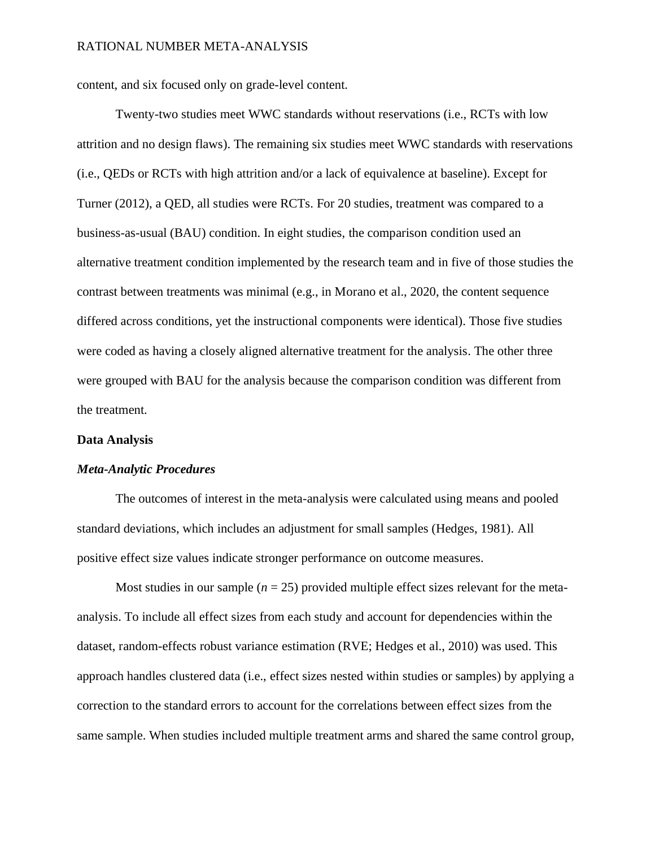content, and six focused only on grade-level content.

Twenty-two studies meet WWC standards without reservations (i.e., RCTs with low attrition and no design flaws). The remaining six studies meet WWC standards with reservations (i.e., QEDs or RCTs with high attrition and/or a lack of equivalence at baseline). Except for Turner (2012), a QED, all studies were RCTs. For 20 studies, treatment was compared to a business-as-usual (BAU) condition. In eight studies, the comparison condition used an alternative treatment condition implemented by the research team and in five of those studies the contrast between treatments was minimal (e.g., in Morano et al., 2020, the content sequence differed across conditions, yet the instructional components were identical). Those five studies were coded as having a closely aligned alternative treatment for the analysis. The other three were grouped with BAU for the analysis because the comparison condition was different from the treatment.

#### **Data Analysis**

#### *Meta-Analytic Procedures*

The outcomes of interest in the meta-analysis were calculated using means and pooled standard deviations, which includes an adjustment for small samples (Hedges, 1981). All positive effect size values indicate stronger performance on outcome measures.

Most studies in our sample ( $n = 25$ ) provided multiple effect sizes relevant for the metaanalysis. To include all effect sizes from each study and account for dependencies within the dataset, random-effects robust variance estimation (RVE; Hedges et al., 2010) was used. This approach handles clustered data (i.e., effect sizes nested within studies or samples) by applying a correction to the standard errors to account for the correlations between effect sizes from the same sample. When studies included multiple treatment arms and shared the same control group,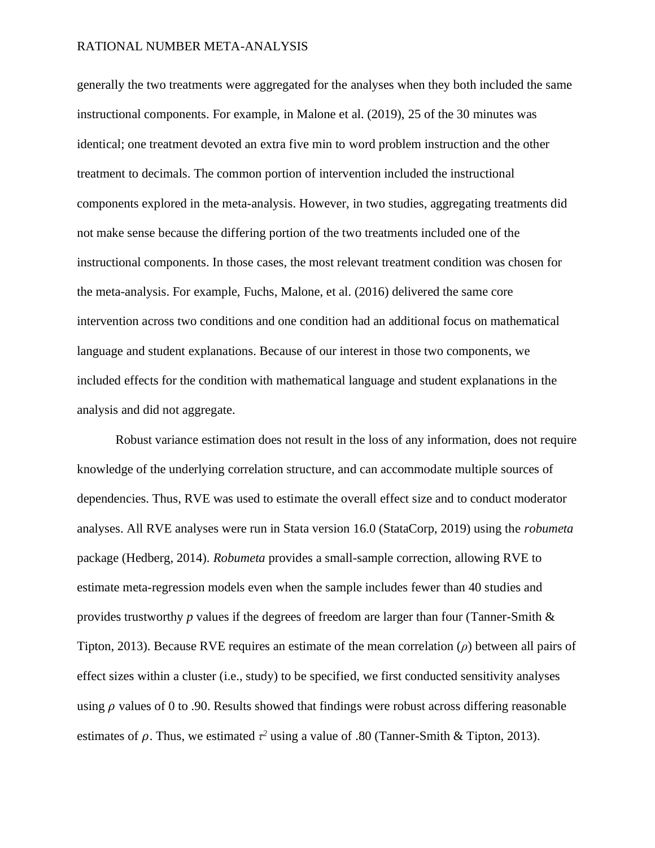generally the two treatments were aggregated for the analyses when they both included the same instructional components. For example, in Malone et al. (2019), 25 of the 30 minutes was identical; one treatment devoted an extra five min to word problem instruction and the other treatment to decimals. The common portion of intervention included the instructional components explored in the meta-analysis. However, in two studies, aggregating treatments did not make sense because the differing portion of the two treatments included one of the instructional components. In those cases, the most relevant treatment condition was chosen for the meta-analysis. For example, Fuchs, Malone, et al. (2016) delivered the same core intervention across two conditions and one condition had an additional focus on mathematical language and student explanations. Because of our interest in those two components, we included effects for the condition with mathematical language and student explanations in the analysis and did not aggregate.

Robust variance estimation does not result in the loss of any information, does not require knowledge of the underlying correlation structure, and can accommodate multiple sources of dependencies. Thus, RVE was used to estimate the overall effect size and to conduct moderator analyses. All RVE analyses were run in Stata version 16.0 (StataCorp, 2019) using the *robumeta* package (Hedberg, 2014). *Robumeta* provides a small-sample correction, allowing RVE to estimate meta-regression models even when the sample includes fewer than 40 studies and provides trustworthy *p* values if the degrees of freedom are larger than four (Tanner-Smith & Tipton, 2013). Because RVE requires an estimate of the mean correlation (*ρ*) between all pairs of effect sizes within a cluster (i.e., study) to be specified, we first conducted sensitivity analyses using  $\rho$  values of 0 to .90. Results showed that findings were robust across differing reasonable estimates of  $\rho$ . Thus, we estimated  $\tau^2$  using a value of .80 (Tanner-Smith & Tipton, 2013).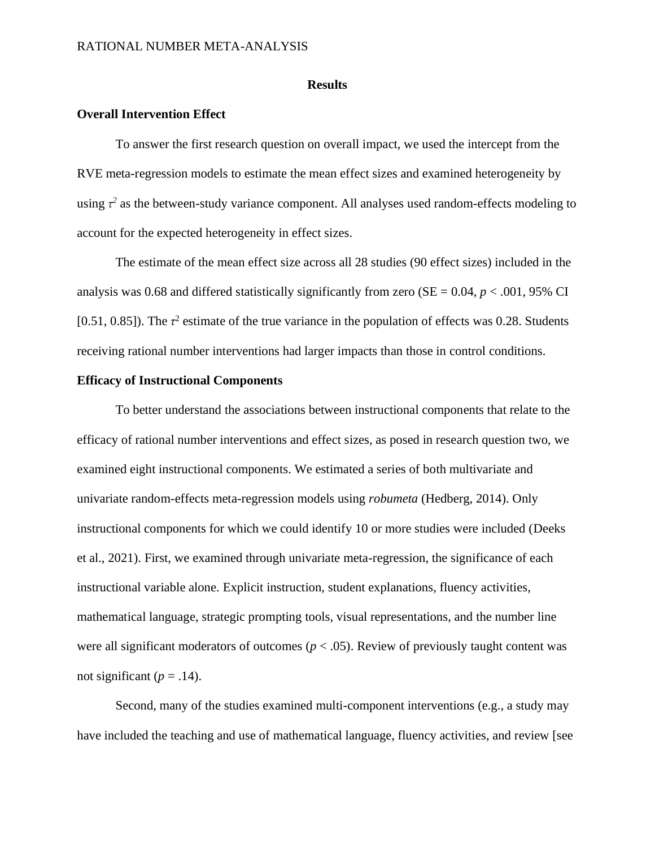#### **Results**

# **Overall Intervention Effect**

To answer the first research question on overall impact, we used the intercept from the RVE meta-regression models to estimate the mean effect sizes and examined heterogeneity by using  $\tau^2$  as the between-study variance component. All analyses used random-effects modeling to account for the expected heterogeneity in effect sizes.

The estimate of the mean effect size across all 28 studies (90 effect sizes) included in the analysis was 0.68 and differed statistically significantly from zero ( $SE = 0.04$ ,  $p < .001$ , 95% CI [0.51, 0.85]). The  $\tau^2$  estimate of the true variance in the population of effects was 0.28. Students receiving rational number interventions had larger impacts than those in control conditions.

# **Efficacy of Instructional Components**

To better understand the associations between instructional components that relate to the efficacy of rational number interventions and effect sizes, as posed in research question two, we examined eight instructional components. We estimated a series of both multivariate and univariate random-effects meta-regression models using *robumeta* (Hedberg, 2014). Only instructional components for which we could identify 10 or more studies were included (Deeks et al., 2021). First, we examined through univariate meta-regression, the significance of each instructional variable alone. Explicit instruction, student explanations, fluency activities, mathematical language, strategic prompting tools, visual representations, and the number line were all significant moderators of outcomes ( $p < .05$ ). Review of previously taught content was not significant ( $p = .14$ ).

Second, many of the studies examined multi-component interventions (e.g., a study may have included the teaching and use of mathematical language, fluency activities, and review [see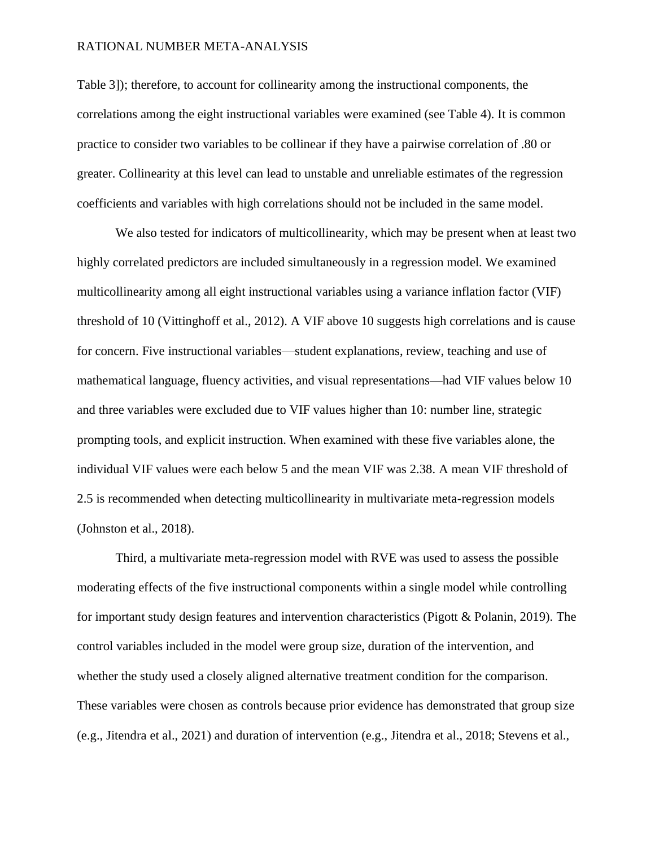Table 3]); therefore, to account for collinearity among the instructional components, the correlations among the eight instructional variables were examined (see Table 4). It is common practice to consider two variables to be collinear if they have a pairwise correlation of .80 or greater. Collinearity at this level can lead to unstable and unreliable estimates of the regression coefficients and variables with high correlations should not be included in the same model.

We also tested for indicators of multicollinearity, which may be present when at least two highly correlated predictors are included simultaneously in a regression model. We examined multicollinearity among all eight instructional variables using a variance inflation factor (VIF) threshold of 10 (Vittinghoff et al., 2012). A VIF above 10 suggests high correlations and is cause for concern. Five instructional variables—student explanations, review, teaching and use of mathematical language, fluency activities, and visual representations—had VIF values below 10 and three variables were excluded due to VIF values higher than 10: number line, strategic prompting tools, and explicit instruction. When examined with these five variables alone, the individual VIF values were each below 5 and the mean VIF was 2.38. A mean VIF threshold of 2.5 is recommended when detecting multicollinearity in multivariate meta-regression models (Johnston et al., 2018).

Third, a multivariate meta-regression model with RVE was used to assess the possible moderating effects of the five instructional components within a single model while controlling for important study design features and intervention characteristics (Pigott & Polanin, 2019). The control variables included in the model were group size, duration of the intervention, and whether the study used a closely aligned alternative treatment condition for the comparison. These variables were chosen as controls because prior evidence has demonstrated that group size (e.g., Jitendra et al., 2021) and duration of intervention (e.g., Jitendra et al., 2018; Stevens et al.,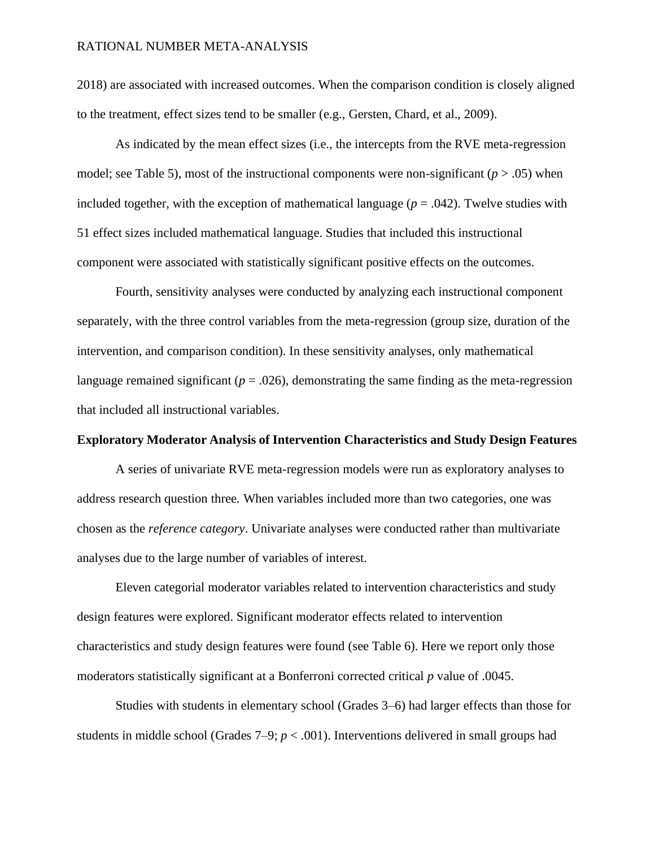2018) are associated with increased outcomes. When the comparison condition is closely aligned to the treatment, effect sizes tend to be smaller (e.g., Gersten, Chard, et al., 2009).

As indicated by the mean effect sizes (i.e., the intercepts from the RVE meta-regression model; see Table 5), most of the instructional components were non-significant  $(p > .05)$  when included together, with the exception of mathematical language  $(p = .042)$ . Twelve studies with 51 effect sizes included mathematical language. Studies that included this instructional component were associated with statistically significant positive effects on the outcomes.

Fourth, sensitivity analyses were conducted by analyzing each instructional component separately, with the three control variables from the meta-regression (group size, duration of the intervention, and comparison condition). In these sensitivity analyses, only mathematical language remained significant  $(p = .026)$ , demonstrating the same finding as the meta-regression that included all instructional variables.

## **Exploratory Moderator Analysis of Intervention Characteristics and Study Design Features**

A series of univariate RVE meta-regression models were run as exploratory analyses to address research question three. When variables included more than two categories, one was chosen as the *reference category*. Univariate analyses were conducted rather than multivariate analyses due to the large number of variables of interest.

Eleven categorial moderator variables related to intervention characteristics and study design features were explored. Significant moderator effects related to intervention characteristics and study design features were found (see Table 6). Here we report only those moderators statistically significant at a Bonferroni corrected critical *p* value of .0045.

Studies with students in elementary school (Grades 3–6) had larger effects than those for students in middle school (Grades  $7-9$ ;  $p < .001$ ). Interventions delivered in small groups had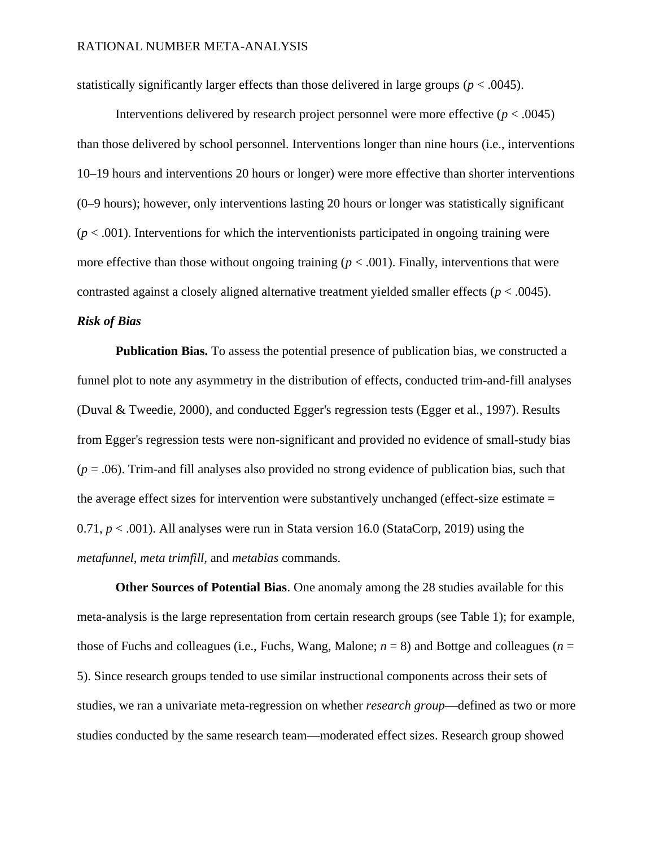statistically significantly larger effects than those delivered in large groups ( $p < .0045$ ).

Interventions delivered by research project personnel were more effective  $(p < .0045)$ than those delivered by school personnel. Interventions longer than nine hours (i.e., interventions 10–19 hours and interventions 20 hours or longer) were more effective than shorter interventions (0–9 hours); however, only interventions lasting 20 hours or longer was statistically significant  $(p < .001)$ . Interventions for which the interventionists participated in ongoing training were more effective than those without ongoing training  $(p < .001)$ . Finally, interventions that were contrasted against a closely aligned alternative treatment yielded smaller effects (*p* < .0045).

# *Risk of Bias*

**Publication Bias.** To assess the potential presence of publication bias, we constructed a funnel plot to note any asymmetry in the distribution of effects, conducted trim-and-fill analyses (Duval & Tweedie, 2000), and conducted Egger's regression tests (Egger et al., 1997). Results from Egger's regression tests were non-significant and provided no evidence of small-study bias  $(p = .06)$ . Trim-and fill analyses also provided no strong evidence of publication bias, such that the average effect sizes for intervention were substantively unchanged (effect-size estimate = 0.71,  $p < .001$ ). All analyses were run in Stata version 16.0 (StataCorp, 2019) using the *metafunnel*, *meta trimfill,* and *metabias* commands.

**Other Sources of Potential Bias**. One anomaly among the 28 studies available for this meta-analysis is the large representation from certain research groups (see Table 1); for example, those of Fuchs and colleagues (i.e., Fuchs, Wang, Malone;  $n = 8$ ) and Bottge and colleagues ( $n =$ 5). Since research groups tended to use similar instructional components across their sets of studies, we ran a univariate meta-regression on whether *research group*—defined as two or more studies conducted by the same research team—moderated effect sizes. Research group showed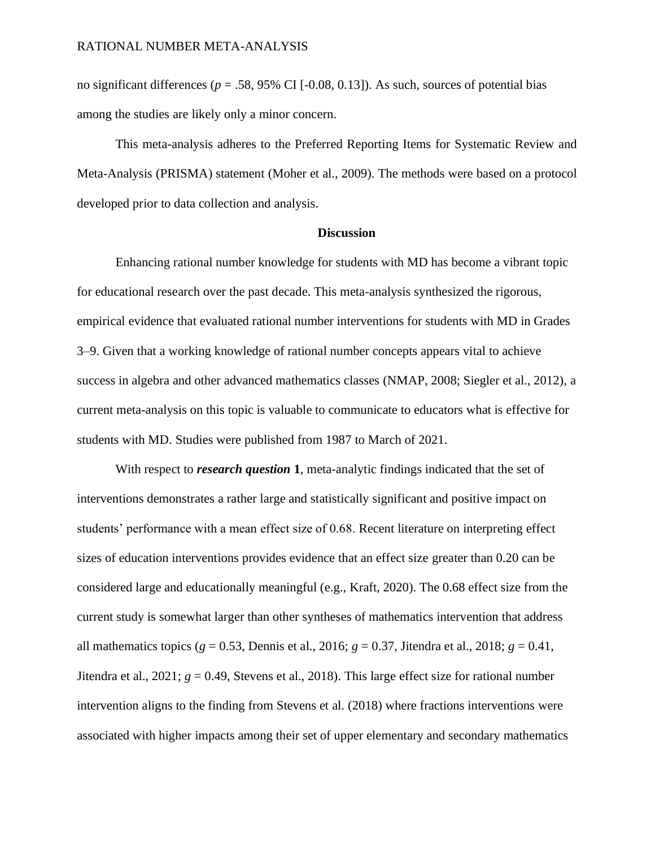no significant differences ( $p = .58, 95\%$  CI [-0.08, 0.13]). As such, sources of potential bias among the studies are likely only a minor concern.

This meta-analysis adheres to the Preferred Reporting Items for Systematic Review and Meta-Analysis (PRISMA) statement (Moher et al., 2009). The methods were based on a protocol developed prior to data collection and analysis.

## **Discussion**

Enhancing rational number knowledge for students with MD has become a vibrant topic for educational research over the past decade. This meta-analysis synthesized the rigorous, empirical evidence that evaluated rational number interventions for students with MD in Grades 3–9. Given that a working knowledge of rational number concepts appears vital to achieve success in algebra and other advanced mathematics classes (NMAP, 2008; Siegler et al., 2012), a current meta-analysis on this topic is valuable to communicate to educators what is effective for students with MD. Studies were published from 1987 to March of 2021.

With respect to *research question* **1**, meta-analytic findings indicated that the set of interventions demonstrates a rather large and statistically significant and positive impact on students' performance with a mean effect size of 0.68. Recent literature on interpreting effect sizes of education interventions provides evidence that an effect size greater than 0.20 can be considered large and educationally meaningful (e.g., Kraft, 2020). The 0.68 effect size from the current study is somewhat larger than other syntheses of mathematics intervention that address all mathematics topics (*g* = 0.53, Dennis et al., 2016; *g* = 0.37, Jitendra et al., 2018; *g* = 0.41, Jitendra et al., 2021; *g* = 0.49, Stevens et al., 2018). This large effect size for rational number intervention aligns to the finding from Stevens et al. (2018) where fractions interventions were associated with higher impacts among their set of upper elementary and secondary mathematics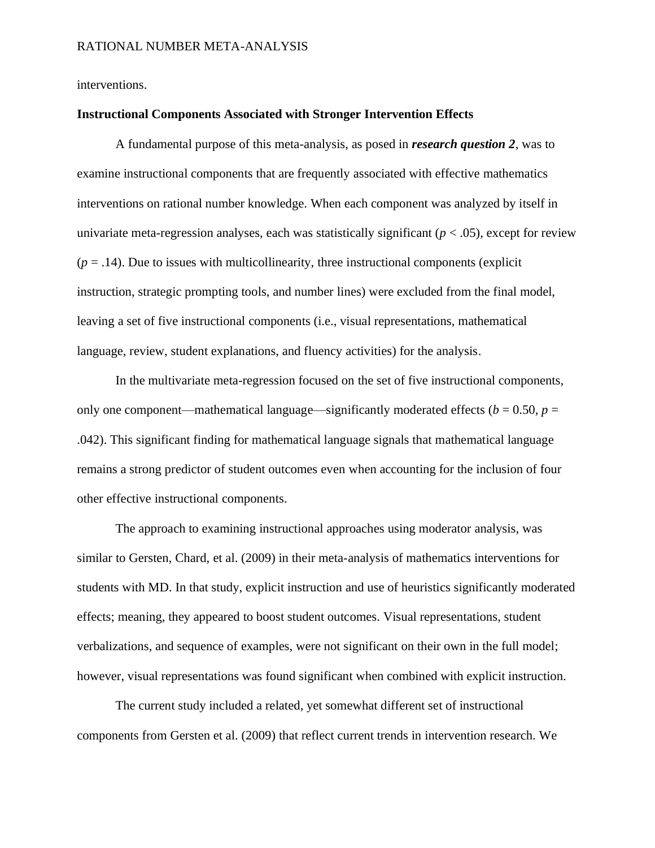interventions.

# **Instructional Components Associated with Stronger Intervention Effects**

A fundamental purpose of this meta-analysis, as posed in *research question 2*, was to examine instructional components that are frequently associated with effective mathematics interventions on rational number knowledge. When each component was analyzed by itself in univariate meta-regression analyses, each was statistically significant  $(p < .05)$ , except for review  $(p = .14)$ . Due to issues with multicollinearity, three instructional components (explicit) instruction, strategic prompting tools, and number lines) were excluded from the final model, leaving a set of five instructional components (i.e., visual representations, mathematical language, review, student explanations, and fluency activities) for the analysis.

In the multivariate meta-regression focused on the set of five instructional components, only one component—mathematical language—significantly moderated effects ( $b = 0.50$ ,  $p =$ .042). This significant finding for mathematical language signals that mathematical language remains a strong predictor of student outcomes even when accounting for the inclusion of four other effective instructional components.

The approach to examining instructional approaches using moderator analysis, was similar to Gersten, Chard, et al. (2009) in their meta-analysis of mathematics interventions for students with MD. In that study, explicit instruction and use of heuristics significantly moderated effects; meaning, they appeared to boost student outcomes. Visual representations, student verbalizations, and sequence of examples, were not significant on their own in the full model; however, visual representations was found significant when combined with explicit instruction.

The current study included a related, yet somewhat different set of instructional components from Gersten et al. (2009) that reflect current trends in intervention research. We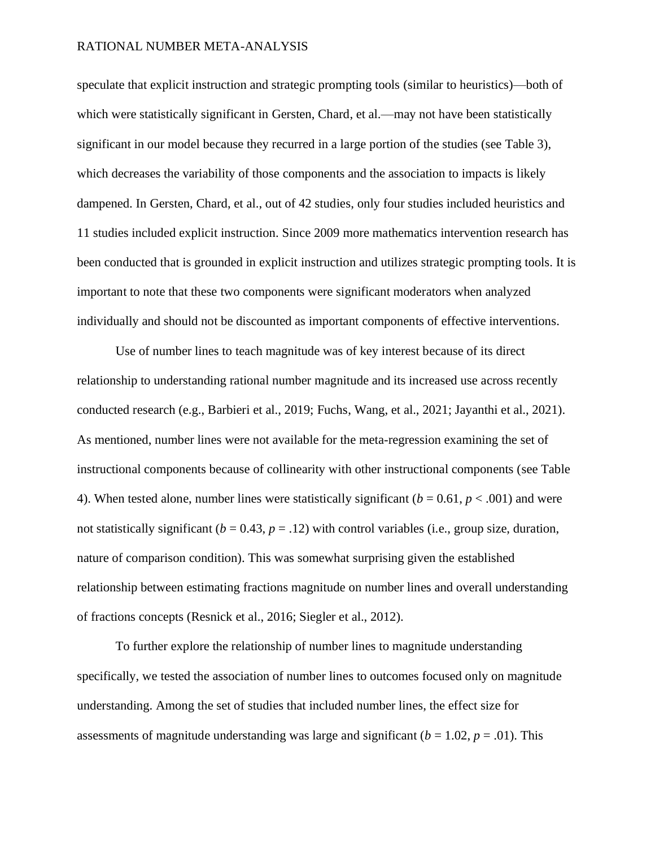speculate that explicit instruction and strategic prompting tools (similar to heuristics)—both of which were statistically significant in Gersten, Chard, et al.—may not have been statistically significant in our model because they recurred in a large portion of the studies (see Table 3), which decreases the variability of those components and the association to impacts is likely dampened. In Gersten, Chard, et al., out of 42 studies, only four studies included heuristics and 11 studies included explicit instruction. Since 2009 more mathematics intervention research has been conducted that is grounded in explicit instruction and utilizes strategic prompting tools. It is important to note that these two components were significant moderators when analyzed individually and should not be discounted as important components of effective interventions.

Use of number lines to teach magnitude was of key interest because of its direct relationship to understanding rational number magnitude and its increased use across recently conducted research (e.g., Barbieri et al., 2019; Fuchs, Wang, et al., 2021; Jayanthi et al., 2021). As mentioned, number lines were not available for the meta-regression examining the set of instructional components because of collinearity with other instructional components (see Table 4). When tested alone, number lines were statistically significant  $(b = 0.61, p < .001)$  and were not statistically significant ( $b = 0.43$ ,  $p = .12$ ) with control variables (i.e., group size, duration, nature of comparison condition). This was somewhat surprising given the established relationship between estimating fractions magnitude on number lines and overall understanding of fractions concepts (Resnick et al., 2016; Siegler et al., 2012).

To further explore the relationship of number lines to magnitude understanding specifically, we tested the association of number lines to outcomes focused only on magnitude understanding. Among the set of studies that included number lines, the effect size for assessments of magnitude understanding was large and significant ( $b = 1.02$ ,  $p = .01$ ). This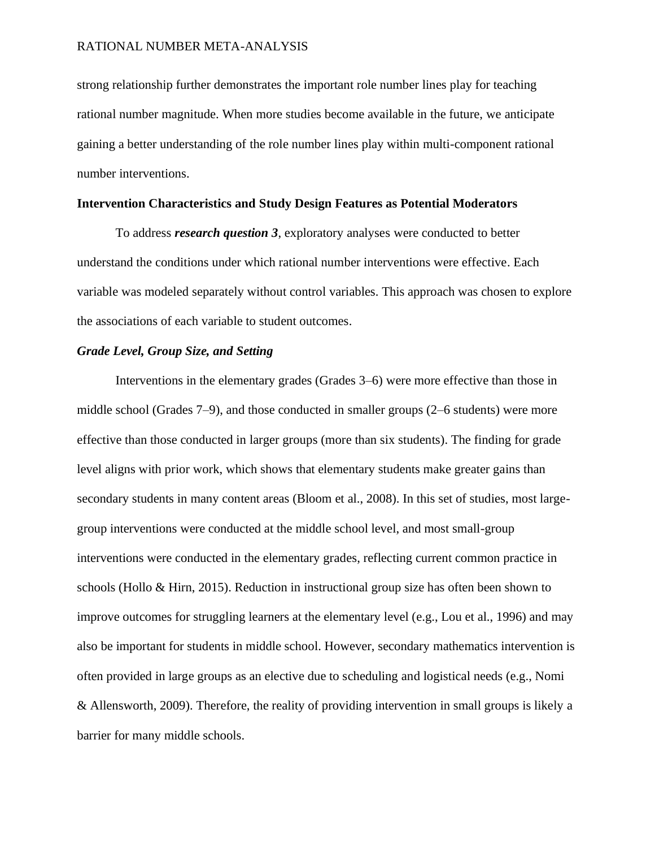strong relationship further demonstrates the important role number lines play for teaching rational number magnitude. When more studies become available in the future, we anticipate gaining a better understanding of the role number lines play within multi-component rational number interventions.

# **Intervention Characteristics and Study Design Features as Potential Moderators**

To address *research question 3*, exploratory analyses were conducted to better understand the conditions under which rational number interventions were effective. Each variable was modeled separately without control variables. This approach was chosen to explore the associations of each variable to student outcomes.

# *Grade Level, Group Size, and Setting*

Interventions in the elementary grades (Grades 3–6) were more effective than those in middle school (Grades 7–9), and those conducted in smaller groups (2–6 students) were more effective than those conducted in larger groups (more than six students). The finding for grade level aligns with prior work, which shows that elementary students make greater gains than secondary students in many content areas (Bloom et al., 2008). In this set of studies, most largegroup interventions were conducted at the middle school level, and most small-group interventions were conducted in the elementary grades, reflecting current common practice in schools (Hollo & Hirn, 2015). Reduction in instructional group size has often been shown to improve outcomes for struggling learners at the elementary level (e.g., Lou et al., 1996) and may also be important for students in middle school. However, secondary mathematics intervention is often provided in large groups as an elective due to scheduling and logistical needs (e.g., Nomi & Allensworth, 2009). Therefore, the reality of providing intervention in small groups is likely a barrier for many middle schools.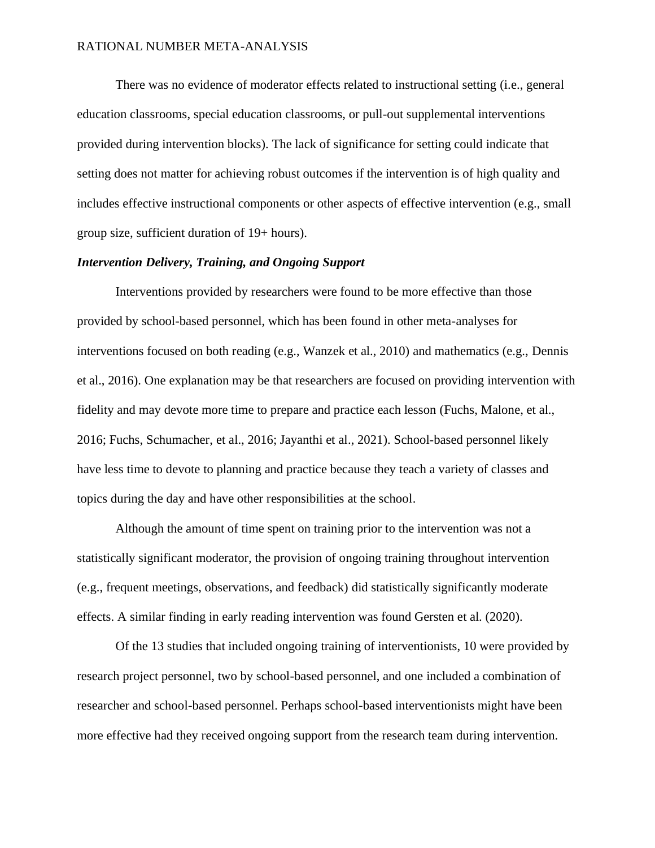There was no evidence of moderator effects related to instructional setting (i.e., general education classrooms, special education classrooms, or pull-out supplemental interventions provided during intervention blocks). The lack of significance for setting could indicate that setting does not matter for achieving robust outcomes if the intervention is of high quality and includes effective instructional components or other aspects of effective intervention (e.g., small group size, sufficient duration of 19+ hours).

# *Intervention Delivery, Training, and Ongoing Support*

Interventions provided by researchers were found to be more effective than those provided by school-based personnel, which has been found in other meta-analyses for interventions focused on both reading (e.g., Wanzek et al., 2010) and mathematics (e.g., Dennis et al., 2016). One explanation may be that researchers are focused on providing intervention with fidelity and may devote more time to prepare and practice each lesson (Fuchs, Malone, et al., 2016; Fuchs, Schumacher, et al., 2016; Jayanthi et al., 2021). School-based personnel likely have less time to devote to planning and practice because they teach a variety of classes and topics during the day and have other responsibilities at the school.

Although the amount of time spent on training prior to the intervention was not a statistically significant moderator, the provision of ongoing training throughout intervention (e.g., frequent meetings, observations, and feedback) did statistically significantly moderate effects. A similar finding in early reading intervention was found Gersten et al. (2020).

Of the 13 studies that included ongoing training of interventionists, 10 were provided by research project personnel, two by school-based personnel, and one included a combination of researcher and school-based personnel. Perhaps school-based interventionists might have been more effective had they received ongoing support from the research team during intervention.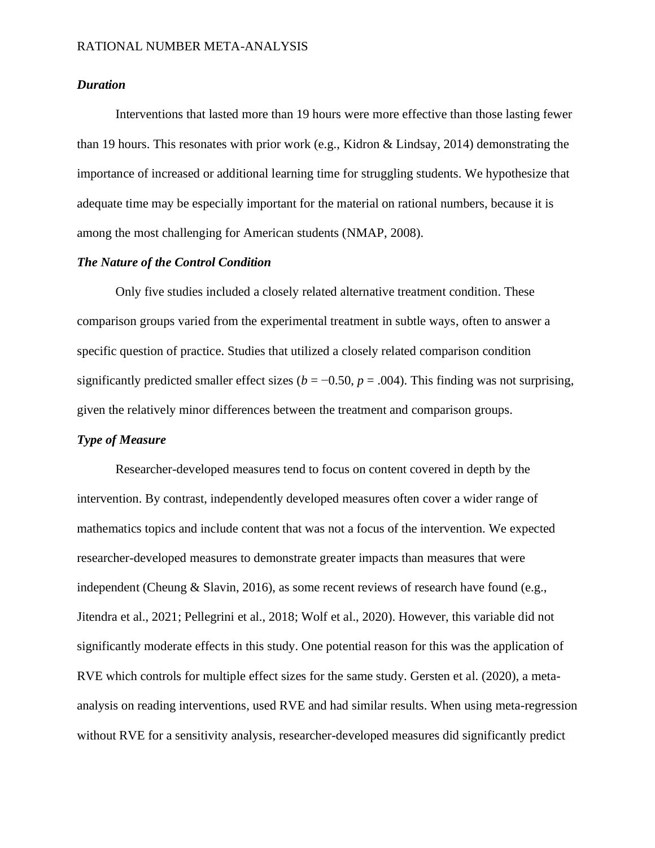# *Duration*

Interventions that lasted more than 19 hours were more effective than those lasting fewer than 19 hours. This resonates with prior work (e.g., Kidron & Lindsay, 2014) demonstrating the importance of increased or additional learning time for struggling students. We hypothesize that adequate time may be especially important for the material on rational numbers, because it is among the most challenging for American students (NMAP, 2008).

# *The Nature of the Control Condition*

Only five studies included a closely related alternative treatment condition. These comparison groups varied from the experimental treatment in subtle ways, often to answer a specific question of practice. Studies that utilized a closely related comparison condition significantly predicted smaller effect sizes ( $b = -0.50$ ,  $p = .004$ ). This finding was not surprising, given the relatively minor differences between the treatment and comparison groups.

# *Type of Measure*

Researcher-developed measures tend to focus on content covered in depth by the intervention. By contrast, independently developed measures often cover a wider range of mathematics topics and include content that was not a focus of the intervention. We expected researcher-developed measures to demonstrate greater impacts than measures that were independent (Cheung & Slavin, 2016), as some recent reviews of research have found (e.g., Jitendra et al., 2021; Pellegrini et al., 2018; Wolf et al., 2020). However, this variable did not significantly moderate effects in this study. One potential reason for this was the application of RVE which controls for multiple effect sizes for the same study. Gersten et al. (2020), a metaanalysis on reading interventions, used RVE and had similar results. When using meta-regression without RVE for a sensitivity analysis, researcher-developed measures did significantly predict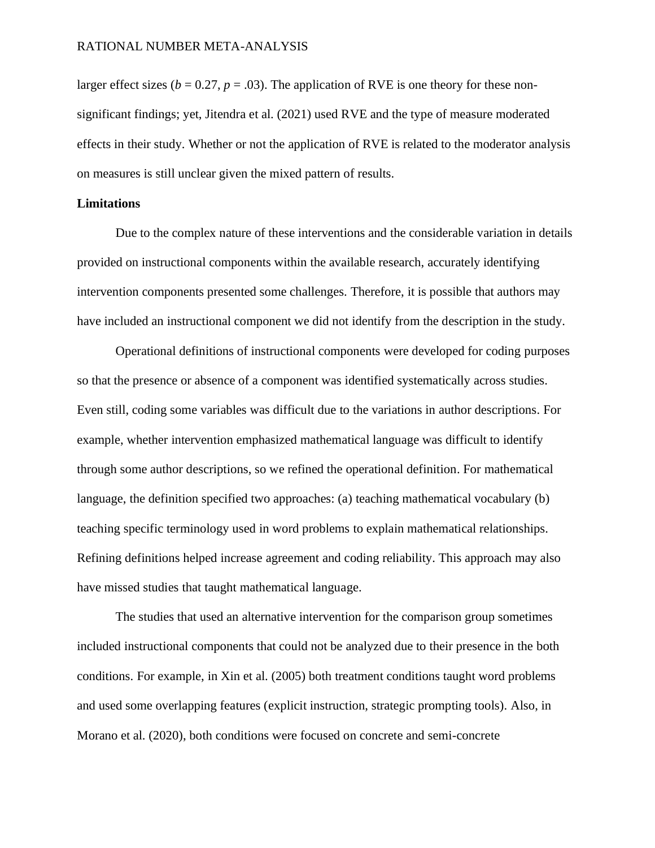larger effect sizes ( $b = 0.27$ ,  $p = .03$ ). The application of RVE is one theory for these nonsignificant findings; yet, Jitendra et al. (2021) used RVE and the type of measure moderated effects in their study. Whether or not the application of RVE is related to the moderator analysis on measures is still unclear given the mixed pattern of results.

# **Limitations**

Due to the complex nature of these interventions and the considerable variation in details provided on instructional components within the available research, accurately identifying intervention components presented some challenges. Therefore, it is possible that authors may have included an instructional component we did not identify from the description in the study.

Operational definitions of instructional components were developed for coding purposes so that the presence or absence of a component was identified systematically across studies. Even still, coding some variables was difficult due to the variations in author descriptions. For example, whether intervention emphasized mathematical language was difficult to identify through some author descriptions, so we refined the operational definition. For mathematical language, the definition specified two approaches: (a) teaching mathematical vocabulary (b) teaching specific terminology used in word problems to explain mathematical relationships. Refining definitions helped increase agreement and coding reliability. This approach may also have missed studies that taught mathematical language.

The studies that used an alternative intervention for the comparison group sometimes included instructional components that could not be analyzed due to their presence in the both conditions. For example, in Xin et al. (2005) both treatment conditions taught word problems and used some overlapping features (explicit instruction, strategic prompting tools). Also, in Morano et al. (2020), both conditions were focused on concrete and semi-concrete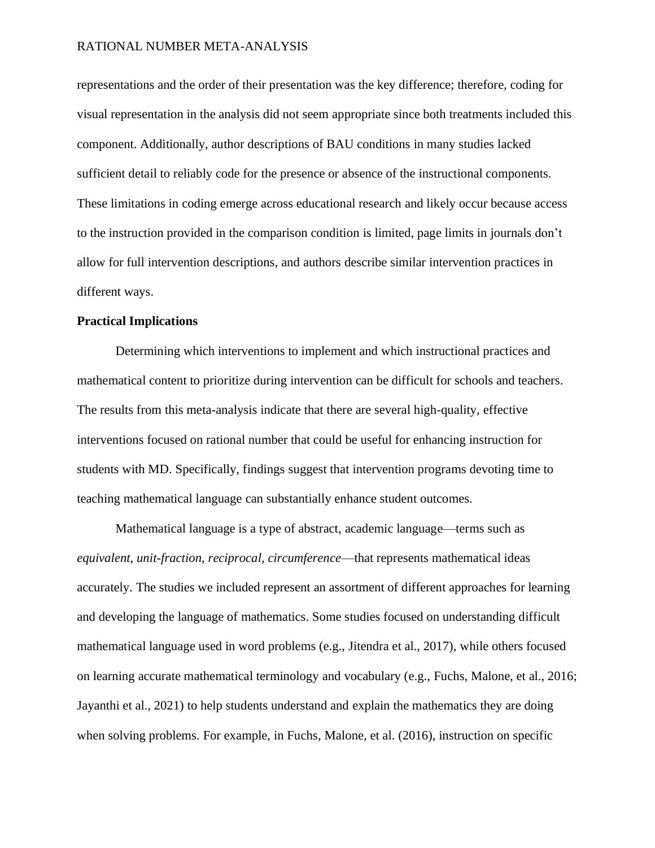representations and the order of their presentation was the key difference; therefore, coding for visual representation in the analysis did not seem appropriate since both treatments included this component. Additionally, author descriptions of BAU conditions in many studies lacked sufficient detail to reliably code for the presence or absence of the instructional components. These limitations in coding emerge across educational research and likely occur because access to the instruction provided in the comparison condition is limited, page limits in journals don't allow for full intervention descriptions, and authors describe similar intervention practices in different ways.

# **Practical Implications**

Determining which interventions to implement and which instructional practices and mathematical content to prioritize during intervention can be difficult for schools and teachers. The results from this meta-analysis indicate that there are several high-quality, effective interventions focused on rational number that could be useful for enhancing instruction for students with MD. Specifically, findings suggest that intervention programs devoting time to teaching mathematical language can substantially enhance student outcomes.

Mathematical language is a type of abstract, academic language—terms such as *equivalent*, *unit-fraction*, *reciprocal, circumference*—that represents mathematical ideas accurately. The studies we included represent an assortment of different approaches for learning and developing the language of mathematics. Some studies focused on understanding difficult mathematical language used in word problems (e.g., Jitendra et al., 2017), while others focused on learning accurate mathematical terminology and vocabulary (e.g., Fuchs, Malone, et al., 2016; Jayanthi et al., 2021) to help students understand and explain the mathematics they are doing when solving problems. For example, in Fuchs, Malone, et al. (2016), instruction on specific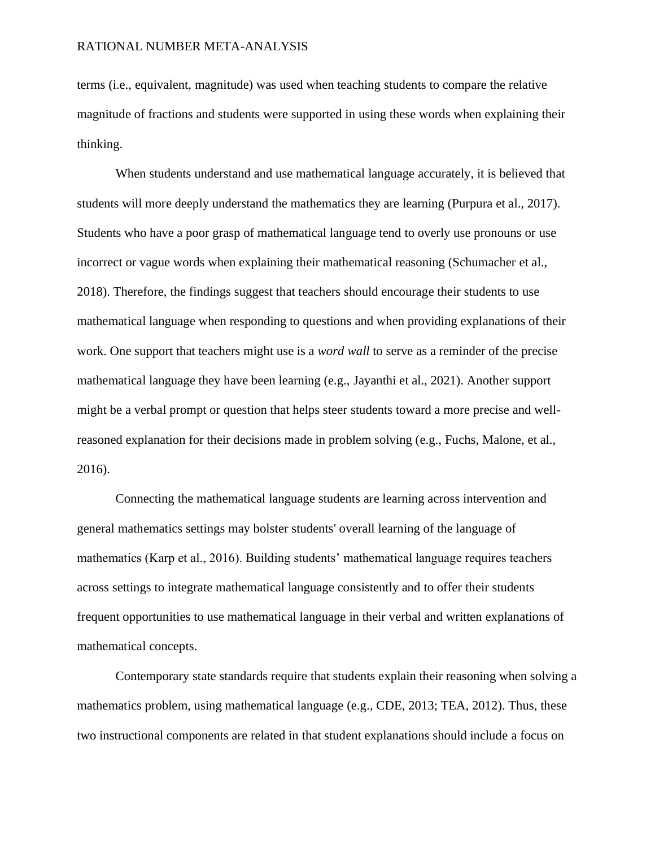terms (i.e., equivalent, magnitude) was used when teaching students to compare the relative magnitude of fractions and students were supported in using these words when explaining their thinking.

When students understand and use mathematical language accurately, it is believed that students will more deeply understand the mathematics they are learning (Purpura et al., 2017). Students who have a poor grasp of mathematical language tend to overly use pronouns or use incorrect or vague words when explaining their mathematical reasoning (Schumacher et al., 2018). Therefore, the findings suggest that teachers should encourage their students to use mathematical language when responding to questions and when providing explanations of their work. One support that teachers might use is a *word wall* to serve as a reminder of the precise mathematical language they have been learning (e.g., Jayanthi et al., 2021). Another support might be a verbal prompt or question that helps steer students toward a more precise and wellreasoned explanation for their decisions made in problem solving (e.g., Fuchs, Malone, et al., 2016).

Connecting the mathematical language students are learning across intervention and general mathematics settings may bolster students' overall learning of the language of mathematics (Karp et al., 2016). Building students' mathematical language requires teachers across settings to integrate mathematical language consistently and to offer their students frequent opportunities to use mathematical language in their verbal and written explanations of mathematical concepts.

Contemporary state standards require that students explain their reasoning when solving a mathematics problem, using mathematical language (e.g., CDE, 2013; TEA, 2012). Thus, these two instructional components are related in that student explanations should include a focus on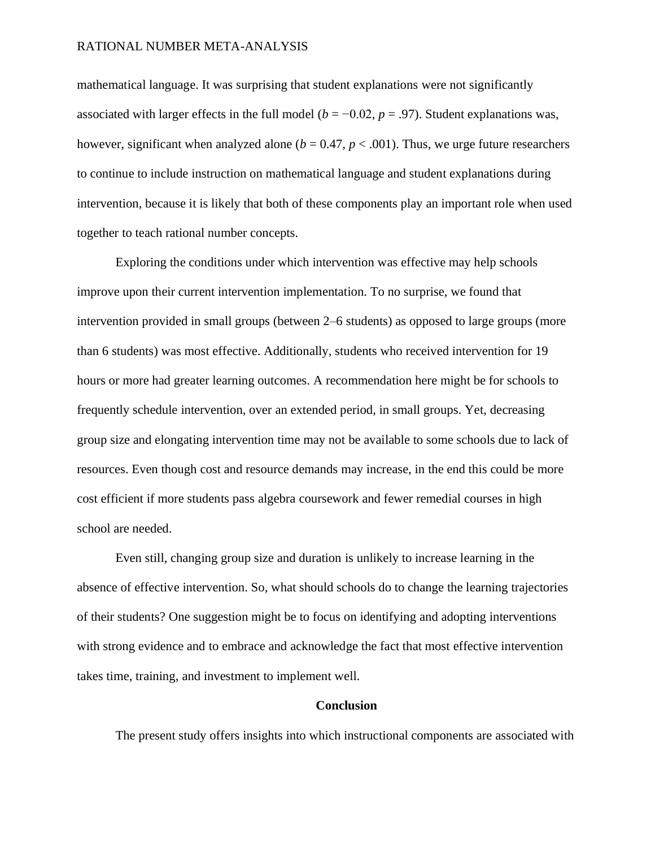mathematical language. It was surprising that student explanations were not significantly associated with larger effects in the full model ( $b = -0.02$ ,  $p = .97$ ). Student explanations was, however, significant when analyzed alone ( $b = 0.47$ ,  $p < .001$ ). Thus, we urge future researchers to continue to include instruction on mathematical language and student explanations during intervention, because it is likely that both of these components play an important role when used together to teach rational number concepts.

Exploring the conditions under which intervention was effective may help schools improve upon their current intervention implementation. To no surprise, we found that intervention provided in small groups (between 2–6 students) as opposed to large groups (more than 6 students) was most effective. Additionally, students who received intervention for 19 hours or more had greater learning outcomes. A recommendation here might be for schools to frequently schedule intervention, over an extended period, in small groups. Yet, decreasing group size and elongating intervention time may not be available to some schools due to lack of resources. Even though cost and resource demands may increase, in the end this could be more cost efficient if more students pass algebra coursework and fewer remedial courses in high school are needed.

Even still, changing group size and duration is unlikely to increase learning in the absence of effective intervention. So, what should schools do to change the learning trajectories of their students? One suggestion might be to focus on identifying and adopting interventions with strong evidence and to embrace and acknowledge the fact that most effective intervention takes time, training, and investment to implement well.

# **Conclusion**

The present study offers insights into which instructional components are associated with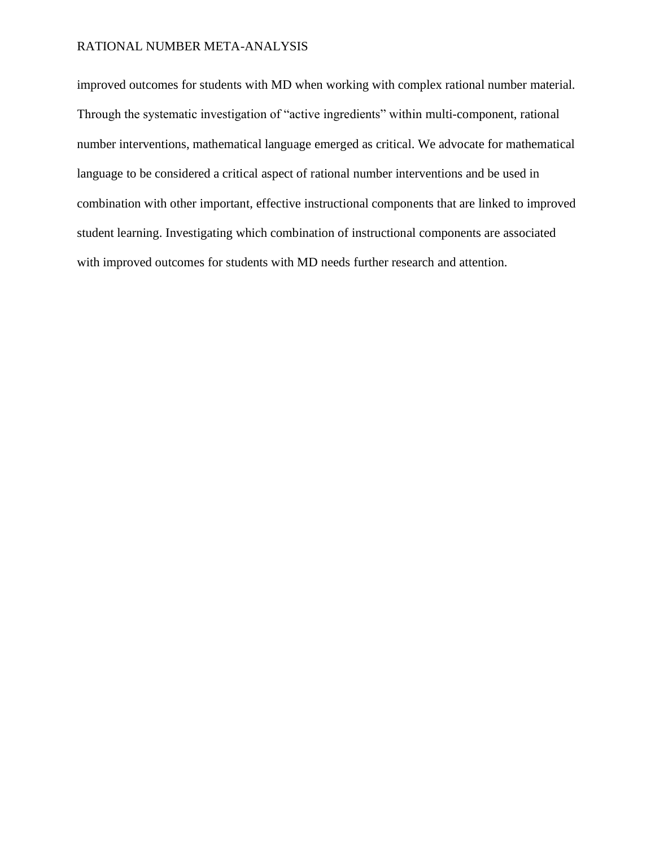improved outcomes for students with MD when working with complex rational number material. Through the systematic investigation of "active ingredients" within multi-component, rational number interventions, mathematical language emerged as critical. We advocate for mathematical language to be considered a critical aspect of rational number interventions and be used in combination with other important, effective instructional components that are linked to improved student learning. Investigating which combination of instructional components are associated with improved outcomes for students with MD needs further research and attention.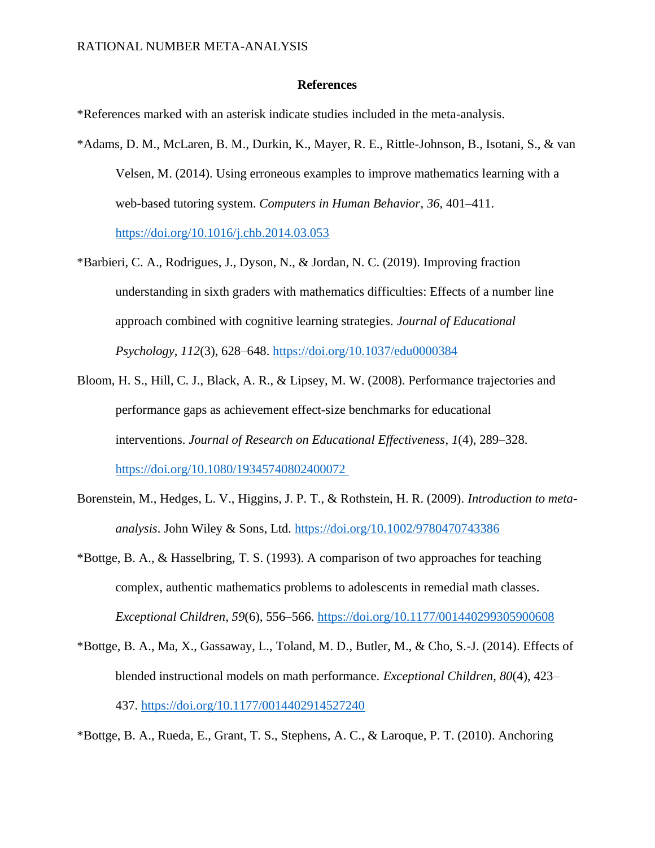# **References**

\*References marked with an asterisk indicate studies included in the meta-analysis.

- \*Adams, D. M., McLaren, B. M., Durkin, K., Mayer, R. E., Rittle-Johnson, B., Isotani, S., & van Velsen, M. (2014). Using erroneous examples to improve mathematics learning with a web-based tutoring system. *Computers in Human Behavior*, *36*, 401–411. <https://doi.org/10.1016/j.chb.2014.03.053>
- \*Barbieri, C. A., Rodrigues, J., Dyson, N., & Jordan, N. C. (2019). Improving fraction understanding in sixth graders with mathematics difficulties: Effects of a number line approach combined with cognitive learning strategies. *Journal of Educational Psychology*, *112*(3), 628–648.<https://doi.org/10.1037/edu0000384>
- Bloom, H. S., Hill, C. J., Black, A. R., & Lipsey, M. W. (2008). Performance trajectories and performance gaps as achievement effect-size benchmarks for educational interventions. *Journal of Research on Educational Effectiveness*, *1*(4), 289–328. [https://doi.org/10.1080/19345740802400072](https://doi.org/10.1080/19345740802400072 )
- Borenstein, M., Hedges, L. V., Higgins, J. P. T., & Rothstein, H. R. (2009). *Introduction to metaanalysis*. John Wiley & Sons, Ltd.<https://doi.org/10.1002/9780470743386>
- \*Bottge, B. A., & Hasselbring, T. S. (1993). A comparison of two approaches for teaching complex, authentic mathematics problems to adolescents in remedial math classes. *Exceptional Children*, *59*(6), 556–566. [https://doi.org/10.1177/001440299305900608](http://doi.org/10.1177/001440299305900608)
- \*Bottge, B. A., Ma, X., Gassaway, L., Toland, M. D., Butler, M., & Cho, S.-J. (2014). Effects of blended instructional models on math performance. *Exceptional Children*, *80*(4), 423– 437. [https://doi.org/10.1177/0014402914527240](http://doi.org/10.1177/0014402914527240)

\*Bottge, B. A., Rueda, E., Grant, T. S., Stephens, A. C., & Laroque, P. T. (2010). Anchoring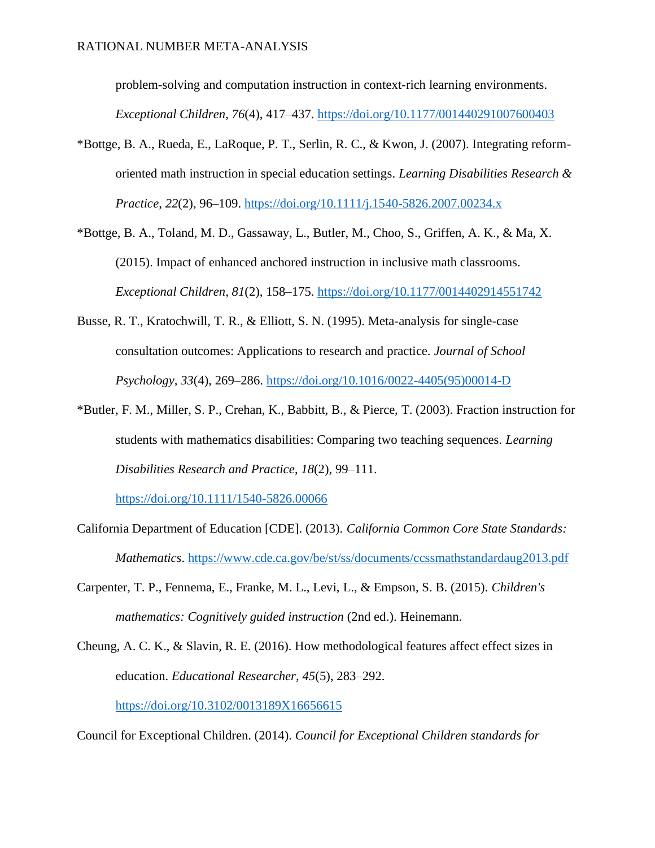problem-solving and computation instruction in context-rich learning environments. *Exceptional Children*, *76*(4), 417–437. [https://doi.org/10.1177/001440291007600403](http://doi.org/10.1177/001440291007600403)

- \*Bottge, B. A., Rueda, E., LaRoque, P. T., Serlin, R. C., & Kwon, J. (2007). Integrating reformoriented math instruction in special education settings. *Learning Disabilities Research & Practice*, *22*(2), 96–109. [https://doi.org/10.1111/j.1540-5826.2007.00234.x](http://doi.org/10.1111/j.1540-5826.2007.00234.x)
- \*Bottge, B. A., Toland, M. D., Gassaway, L., Butler, M., Choo, S., Griffen, A. K., & Ma, X. (2015). Impact of enhanced anchored instruction in inclusive math classrooms. *Exceptional Children*, *81*(2), 158–175. [https://doi.org/10.1177/0014402914551742](http://doi.org/10.1177/0014402914551742)
- Busse, R. T., Kratochwill, T. R., & Elliott, S. N. (1995). Meta-analysis for single-case consultation outcomes: Applications to research and practice. *Journal of School Psychology, 33*(4), 269–286. [https://doi.org/10.1016/0022-4405\(95\)00014-D](https://doi.org/10.1016/0022-4405(95)00014-D)
- \*Butler, F. M., Miller, S. P., Crehan, K., Babbitt, B., & Pierce, T. (2003). Fraction instruction for students with mathematics disabilities: Comparing two teaching sequences. *Learning Disabilities Research and Practice*, *18*(2), 99–111.

<https://doi.org/10.1111/1540-5826.00066>

- California Department of Education [CDE]. (2013). *California Common Core State Standards: Mathematics*.<https://www.cde.ca.gov/be/st/ss/documents/ccssmathstandardaug2013.pdf>
- Carpenter, T. P., Fennema, E., Franke, M. L., Levi, L., & Empson, S. B. (2015). *Children's mathematics: Cognitively guided instruction* (2nd ed.). Heinemann.
- Cheung, A. C. K., & Slavin, R. E. (2016). How methodological features affect effect sizes in education. *Educational Researcher, 45*(5), 283–292. <https://doi.org/10.3102/0013189X16656615>

Council for Exceptional Children. (2014). *Council for Exceptional Children standards for*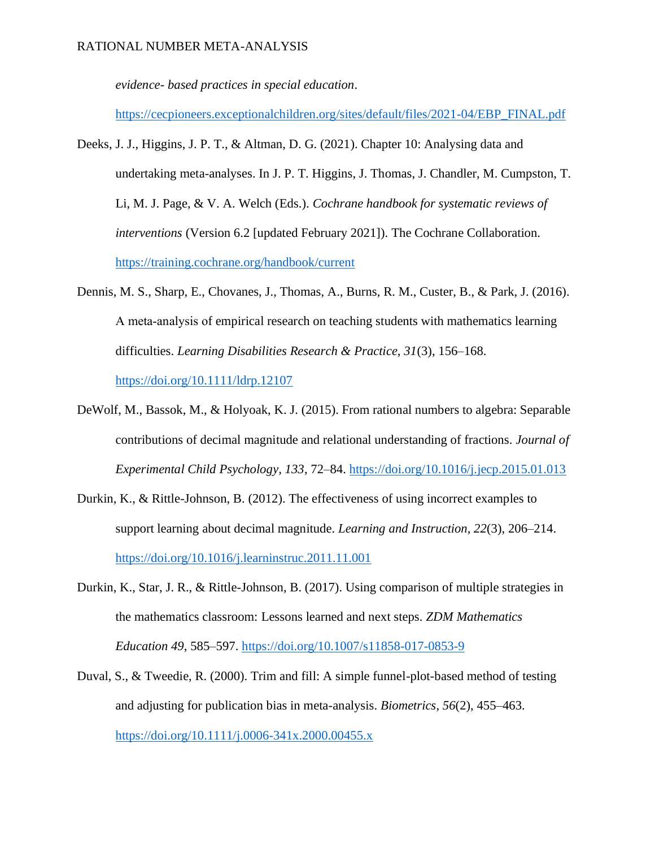*evidence- based practices in special education*.

[https://cecpioneers.exceptionalchildren.org/sites/default/files/2021-04/EBP\\_FINAL.pdf](https://cecpioneers.exceptionalchildren.org/sites/default/files/2021-04/EBP_FINAL.pdf)

- Deeks, J. J., Higgins, J. P. T., & Altman, D. G. (2021). Chapter 10: Analysing data and undertaking meta-analyses. In J. P. T. Higgins, J. Thomas, J. Chandler, M. Cumpston, T. Li, M. J. Page, & V. A. Welch (Eds.). *Cochrane handbook for systematic reviews of interventions* (Version 6.2 [updated February 2021]). The Cochrane Collaboration. <https://training.cochrane.org/handbook/current>
- Dennis, M. S., Sharp, E., Chovanes, J., Thomas, A., Burns, R. M., Custer, B., & Park, J. (2016). A meta‐analysis of empirical research on teaching students with mathematics learning difficulties. *Learning Disabilities Research & Practice, 31*(3), 156–168. <https://doi.org/10.1111/ldrp.12107>
- DeWolf, M., Bassok, M., & Holyoak, K. J. (2015). From rational numbers to algebra: Separable contributions of decimal magnitude and relational understanding of fractions. *Journal of Experimental Child Psychology, 133*, 72–84.<https://doi.org/10.1016/j.jecp.2015.01.013>
- Durkin, K., & Rittle-Johnson, B. (2012). The effectiveness of using incorrect examples to support learning about decimal magnitude. *Learning and Instruction, 22*(3), 206–214. <https://doi.org/10.1016/j.learninstruc.2011.11.001>
- Durkin, K., Star, J. R., & Rittle-Johnson, B. (2017). Using comparison of multiple strategies in the mathematics classroom: Lessons learned and next steps. *ZDM Mathematics Education 49*, 585–597.<https://doi.org/10.1007/s11858-017-0853-9>
- Duval, S., & Tweedie, R. (2000). Trim and fill: A simple funnel-plot-based method of testing and adjusting for publication bias in meta-analysis. *Biometrics*, *56*(2), 455–463. <https://doi.org/10.1111/j.0006-341x.2000.00455.x>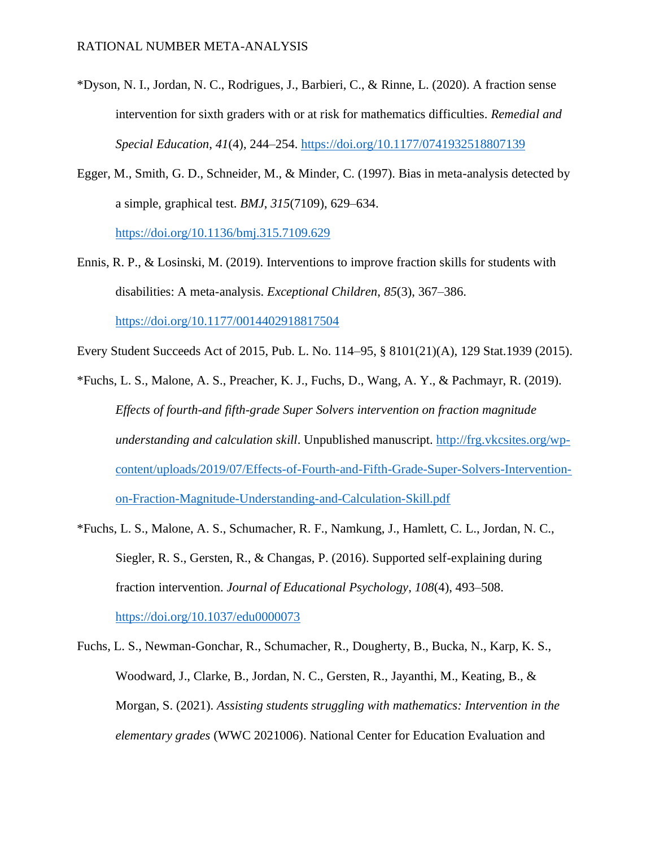- \*Dyson, N. I., Jordan, N. C., Rodrigues, J., Barbieri, C., & Rinne, L. (2020). A fraction sense intervention for sixth graders with or at risk for mathematics difficulties. *Remedial and Special Education*, *41*(4), 244–254.<https://doi.org/10.1177/0741932518807139>
- Egger, M., Smith, G. D., Schneider, M., & Minder, C. (1997). Bias in meta-analysis detected by a simple, graphical test. *BMJ*, *315*(7109), 629–634.

<https://doi.org/10.1136/bmj.315.7109.629>

Ennis, R. P., & Losinski, M. (2019). Interventions to improve fraction skills for students with disabilities: A meta-analysis. *Exceptional Children*, *85*(3), 367–386. <https://doi.org/10.1177/0014402918817504>

Every Student Succeeds Act of 2015, Pub. L. No. 114–95, § 8101(21)(A), 129 Stat.1939 (2015).

- \*Fuchs, L. S., Malone, A. S., Preacher, K. J., Fuchs, D., Wang, A. Y., & Pachmayr, R. (2019). *Effects of fourth-and fifth-grade Super Solvers intervention on fraction magnitude understanding and calculation skill*. Unpublished manuscript. [http://frg.vkcsites.org/wp](http://frg.vkcsites.org/wp-content/uploads/2019/07/Effects-of-Fourth-and-Fifth-Grade-Super-Solvers-Intervention-on-Fraction-Magnitude-Understanding-and-Calculation-Skill.pdf)[content/uploads/2019/07/Effects-of-Fourth-and-Fifth-Grade-Super-Solvers-Intervention](http://frg.vkcsites.org/wp-content/uploads/2019/07/Effects-of-Fourth-and-Fifth-Grade-Super-Solvers-Intervention-on-Fraction-Magnitude-Understanding-and-Calculation-Skill.pdf)[on-Fraction-Magnitude-Understanding-and-Calculation-Skill.pdf](http://frg.vkcsites.org/wp-content/uploads/2019/07/Effects-of-Fourth-and-Fifth-Grade-Super-Solvers-Intervention-on-Fraction-Magnitude-Understanding-and-Calculation-Skill.pdf)
- \*Fuchs, L. S., Malone, A. S., Schumacher, R. F., Namkung, J., Hamlett, C. L., Jordan, N. C., Siegler, R. S., Gersten, R., & Changas, P. (2016). Supported self-explaining during fraction intervention. *Journal of Educational Psychology*, *108*(4), 493–508. <https://doi.org/10.1037/edu0000073>
- Fuchs, L. S., Newman-Gonchar, R., Schumacher, R., Dougherty, B., Bucka, N., Karp, K. S., Woodward, J., Clarke, B., Jordan, N. C., Gersten, R., Jayanthi, M., Keating, B., & Morgan, S. (2021). *Assisting students struggling with mathematics: Intervention in the elementary grades* (WWC 2021006). National Center for Education Evaluation and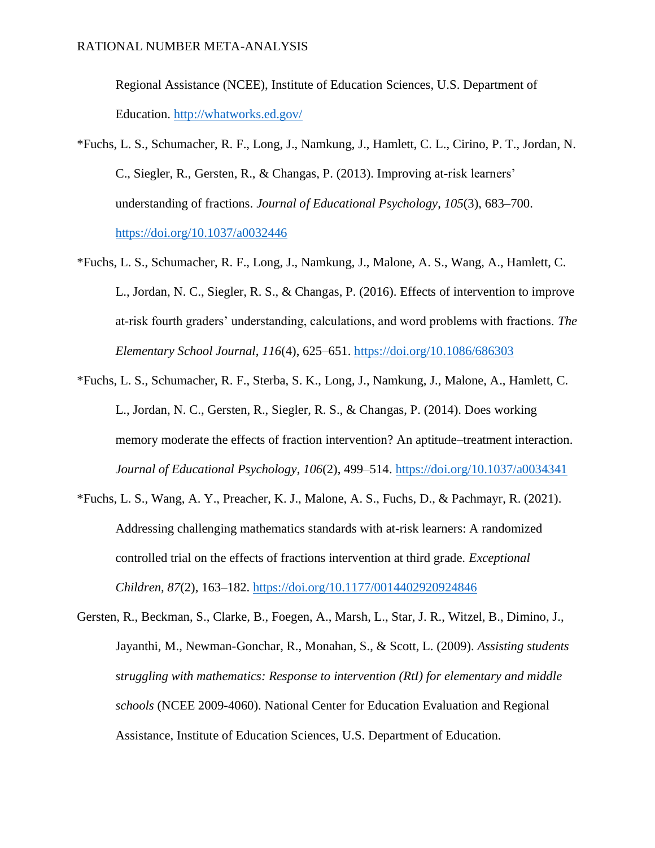Regional Assistance (NCEE), Institute of Education Sciences, U.S. Department of Education.<http://whatworks.ed.gov/>

- \*Fuchs, L. S., Schumacher, R. F., Long, J., Namkung, J., Hamlett, C. L., Cirino, P. T., Jordan, N. C., Siegler, R., Gersten, R., & Changas, P. (2013). Improving at-risk learners' understanding of fractions. *Journal of Educational Psychology*, *105*(3), 683–700. <https://doi.org/10.1037/a0032446>
- \*Fuchs, L. S., Schumacher, R. F., Long, J., Namkung, J., Malone, A. S., Wang, A., Hamlett, C. L., Jordan, N. C., Siegler, R. S., & Changas, P. (2016). Effects of intervention to improve at-risk fourth graders' understanding, calculations, and word problems with fractions. *The Elementary School Journal*, *116*(4), 625–651.<https://doi.org/10.1086/686303>
- \*Fuchs, L. S., Schumacher, R. F., Sterba, S. K., Long, J., Namkung, J., Malone, A., Hamlett, C. L., Jordan, N. C., Gersten, R., Siegler, R. S., & Changas, P. (2014). Does working memory moderate the effects of fraction intervention? An aptitude–treatment interaction. *Journal of Educational Psychology*, *106*(2), 499–514.<https://doi.org/10.1037/a0034341>
- \*Fuchs, L. S., Wang, A. Y., Preacher, K. J., Malone, A. S., Fuchs, D., & Pachmayr, R. (2021). Addressing challenging mathematics standards with at-risk learners: A randomized controlled trial on the effects of fractions intervention at third grade. *Exceptional Children, 87*(2), 163–182. <https://doi.org/10.1177/0014402920924846>
- Gersten, R., Beckman, S., Clarke, B., Foegen, A., Marsh, L., Star, J. R., Witzel, B., Dimino, J., Jayanthi, M., Newman-Gonchar, R., Monahan, S., & Scott, L. (2009). *Assisting students struggling with mathematics: Response to intervention (RtI) for elementary and middle schools* (NCEE 2009-4060). National Center for Education Evaluation and Regional Assistance, Institute of Education Sciences, U.S. Department of Education.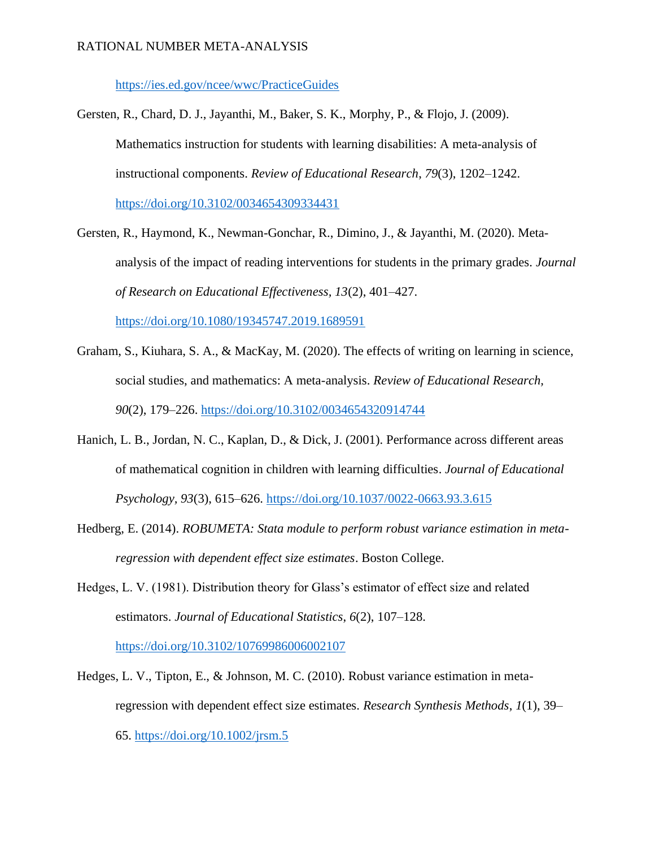<https://ies.ed.gov/ncee/wwc/PracticeGuides>

Gersten, R., Chard, D. J., Jayanthi, M., Baker, S. K., Morphy, P., & Flojo, J. (2009). Mathematics instruction for students with learning disabilities: A meta-analysis of instructional components. *Review of Educational Research*, *79*(3), 1202–1242. <https://doi.org/10.3102/0034654309334431>

- Gersten, R., Haymond, K., Newman-Gonchar, R., Dimino, J., & Jayanthi, M. (2020). Metaanalysis of the impact of reading interventions for students in the primary grades. *Journal of Research on Educational Effectiveness, 13*(2), 401–427. <https://doi.org/10.1080/19345747.2019.1689591>
- Graham, S., Kiuhara, S. A., & MacKay, M. (2020). The effects of writing on learning in science, social studies, and mathematics: A meta-analysis. *Review of Educational Research, 90*(2), 179–226.<https://doi.org/10.3102/0034654320914744>
- Hanich, L. B., Jordan, N. C., Kaplan, D., & Dick, J. (2001). Performance across different areas of mathematical cognition in children with learning difficulties. *Journal of Educational Psychology, 93*(3), 615–626.<https://doi.org/10.1037/0022-0663.93.3.615>
- Hedberg, E. (2014). *ROBUMETA: Stata module to perform robust variance estimation in metaregression with dependent effect size estimates*. Boston College.
- Hedges, L. V. (1981). Distribution theory for Glass's estimator of effect size and related estimators. *Journal of Educational Statistics*, *6*(2), 107–128. <https://doi.org/10.3102/10769986006002107>
- Hedges, L. V., Tipton, E., & Johnson, M. C. (2010). Robust variance estimation in metaregression with dependent effect size estimates. *Research Synthesis Methods*, *1*(1), 39– 65.<https://doi.org/10.1002/jrsm.5>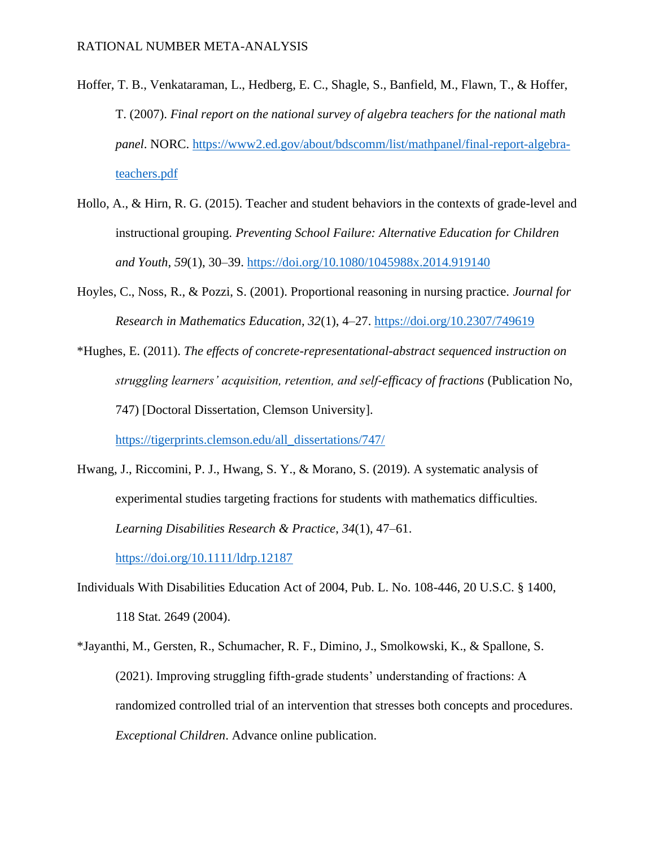- Hoffer, T. B., Venkataraman, L., Hedberg, E. C., Shagle, S., Banfield, M., Flawn, T., & Hoffer, T. (2007). *Final report on the national survey of algebra teachers for the national math panel*. NORC. [https://www2.ed.gov/about/bdscomm/list/mathpanel/final-report-algebra](https://www2.ed.gov/about/bdscomm/list/mathpanel/final-report-algebra-teachers.pdf)[teachers.pdf](https://www2.ed.gov/about/bdscomm/list/mathpanel/final-report-algebra-teachers.pdf)
- Hollo, A., & Hirn, R. G. (2015). Teacher and student behaviors in the contexts of grade-level and instructional grouping. *Preventing School Failure: Alternative Education for Children and Youth*, *59*(1), 30–39.<https://doi.org/10.1080/1045988x.2014.919140>
- Hoyles, C., Noss, R., & Pozzi, S. (2001). Proportional reasoning in nursing practice. *Journal for Research in Mathematics Education, 32*(1), 4–27.<https://doi.org/10.2307/749619>
- \*Hughes, E. (2011). *The effects of concrete-representational-abstract sequenced instruction on struggling learners' acquisition, retention, and self-efficacy of fractions* (Publication No, 747) [Doctoral Dissertation, Clemson University].

[https://tigerprints.clemson.edu/all\\_dissertations/747/](https://tigerprints.clemson.edu/all_dissertations/747/)

Hwang, J., Riccomini, P. J., Hwang, S. Y., & Morano, S. (2019). A systematic analysis of experimental studies targeting fractions for students with mathematics difficulties. *Learning Disabilities Research & Practice*, *34*(1), 47–61.

<https://doi.org/10.1111/ldrp.12187>

- Individuals With Disabilities Education Act of 2004, Pub. L. No. 108-446, 20 U.S.C. § 1400, 118 Stat. 2649 (2004).
- \*Jayanthi, M., Gersten, R., Schumacher, R. F., Dimino, J., Smolkowski, K., & Spallone, S. (2021). Improving struggling fifth-grade students' understanding of fractions: A randomized controlled trial of an intervention that stresses both concepts and procedures. *Exceptional Children*. Advance online publication.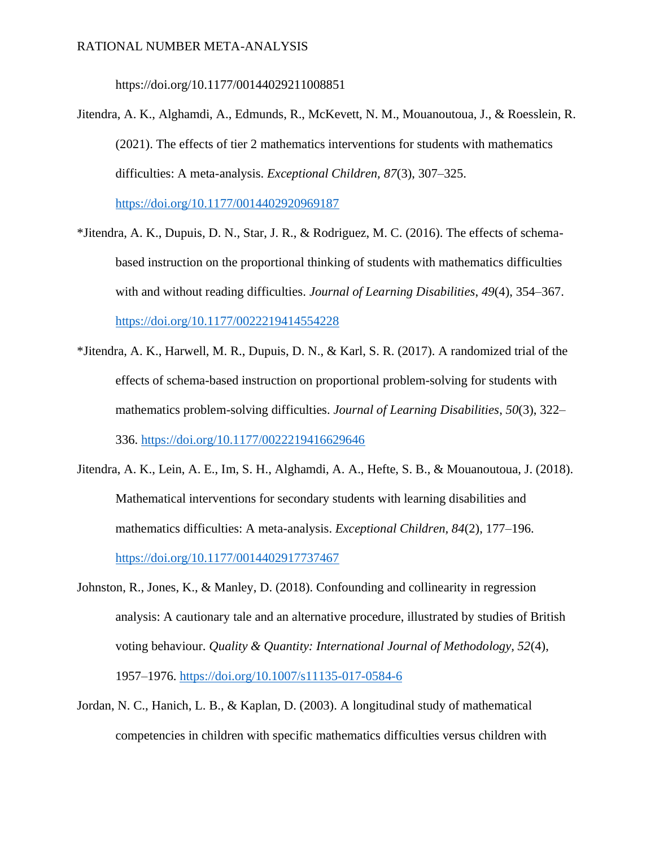https://doi.org/10.1177/00144029211008851

Jitendra, A. K., Alghamdi, A., Edmunds, R., McKevett, N. M., Mouanoutoua, J., & Roesslein, R. (2021). The effects of tier 2 mathematics interventions for students with mathematics difficulties: A meta-analysis. *Exceptional Children, 87*(3), 307–325.

<https://doi.org/10.1177/0014402920969187>

- \*Jitendra, A. K., Dupuis, D. N., Star, J. R., & Rodriguez, M. C. (2016). The effects of schemabased instruction on the proportional thinking of students with mathematics difficulties with and without reading difficulties. *Journal of Learning Disabilities*, *49*(4), 354–367. <https://doi.org/10.1177/0022219414554228>
- \*Jitendra, A. K., Harwell, M. R., Dupuis, D. N., & Karl, S. R. (2017). A randomized trial of the effects of schema-based instruction on proportional problem-solving for students with mathematics problem-solving difficulties. *Journal of Learning Disabilities*, *50*(3), 322– 336.<https://doi.org/10.1177/0022219416629646>
- Jitendra, A. K., Lein, A. E., Im, S. H., Alghamdi, A. A., Hefte, S. B., & Mouanoutoua, J. (2018). Mathematical interventions for secondary students with learning disabilities and mathematics difficulties: A meta-analysis. *Exceptional Children, 84*(2), 177–196. <https://doi.org/10.1177/0014402917737467>
- Johnston, R., Jones, K., & Manley, D. (2018). Confounding and collinearity in regression analysis: A cautionary tale and an alternative procedure, illustrated by studies of British voting behaviour. *Quality & Quantity: International Journal of Methodology, 52*(4), 1957–1976.<https://doi.org/10.1007/s11135-017-0584-6>
- Jordan, N. C., Hanich, L. B., & Kaplan, D. (2003). A longitudinal study of mathematical competencies in children with specific mathematics difficulties versus children with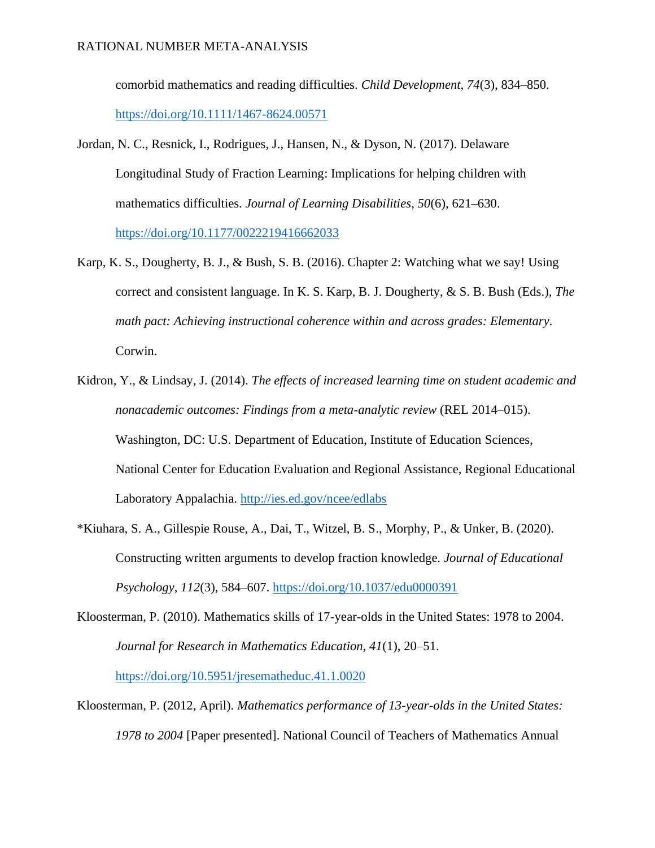comorbid mathematics and reading difficulties. *Child Development, 74*(3), 834–850. <https://doi.org/10.1111/1467-8624.00571>

- Jordan, N. C., Resnick, I., Rodrigues, J., Hansen, N., & Dyson, N. (2017). Delaware Longitudinal Study of Fraction Learning: Implications for helping children with mathematics difficulties. *Journal of Learning Disabilities, 50*(6), 621–630. <https://doi.org/10.1177/0022219416662033>
- Karp, K. S., Dougherty, B. J., & Bush, S. B. (2016). Chapter 2: Watching what we say! Using correct and consistent language. In K. S. Karp, B. J. Dougherty, & S. B. Bush (Eds.), *The math pact: Achieving instructional coherence within and across grades: Elementary*. Corwin.
- Kidron, Y., & Lindsay, J. (2014). *The effects of increased learning time on student academic and nonacademic outcomes: Findings from a meta-analytic review* (REL 2014–015). Washington, DC: U.S. Department of Education, Institute of Education Sciences, National Center for Education Evaluation and Regional Assistance, Regional Educational Laboratory Appalachia.<http://ies.ed.gov/ncee/edlabs>
- \*Kiuhara, S. A., Gillespie Rouse, A., Dai, T., Witzel, B. S., Morphy, P., & Unker, B. (2020). Constructing written arguments to develop fraction knowledge. *Journal of Educational Psychology, 112*(3), 584–607.<https://doi.org/10.1037/edu0000391>
- Kloosterman, P. (2010). Mathematics skills of 17-year-olds in the United States: 1978 to 2004. *Journal for Research in Mathematics Education, 41*(1), 20–51.

<https://doi.org/10.5951/jresematheduc.41.1.0020>

Kloosterman, P. (2012, April). *Mathematics performance of 13-year-olds in the United States: 1978 to 2004* [Paper presented]. National Council of Teachers of Mathematics Annual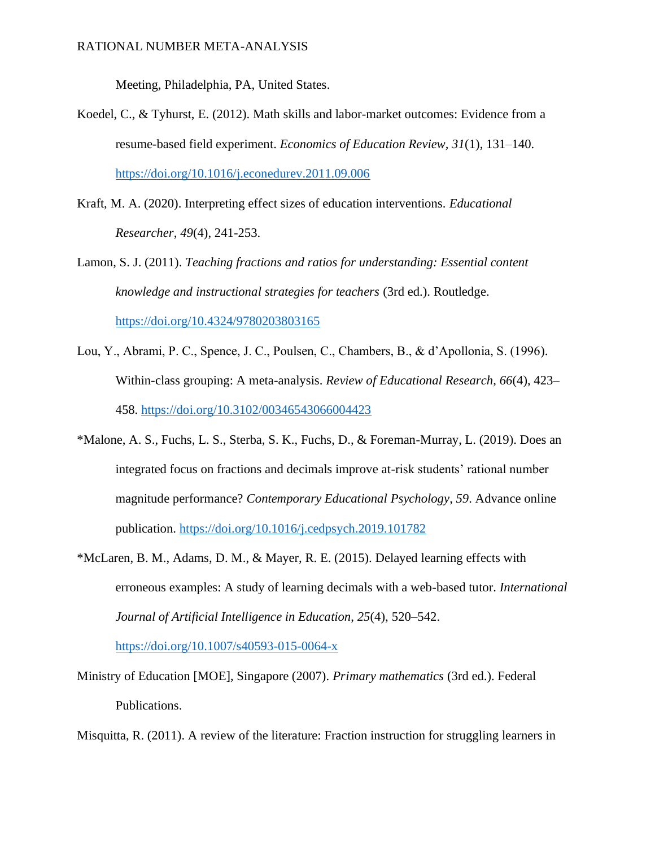Meeting, Philadelphia, PA, United States.

- Koedel, C., & Tyhurst, E. (2012). Math skills and labor-market outcomes: Evidence from a resume-based field experiment. *Economics of Education Review, 31*(1), 131–140. <https://doi.org/10.1016/j.econedurev.2011.09.006>
- Kraft, M. A. (2020). Interpreting effect sizes of education interventions. *Educational Researcher*, *49*(4), 241-253.
- Lamon, S. J. (2011). *Teaching fractions and ratios for understanding: Essential content knowledge and instructional strategies for teachers* (3rd ed.). Routledge. <https://doi.org/10.4324/9780203803165>
- Lou, Y., Abrami, P. C., Spence, J. C., Poulsen, C., Chambers, B., & d'Apollonia, S. (1996). Within-class grouping: A meta-analysis. *Review of Educational Research*, *66*(4), 423– 458.<https://doi.org/10.3102/00346543066004423>
- \*Malone, A. S., Fuchs, L. S., Sterba, S. K., Fuchs, D., & Foreman-Murray, L. (2019). Does an integrated focus on fractions and decimals improve at-risk students' rational number magnitude performance? *Contemporary Educational Psychology*, *59*. Advance online publication.<https://doi.org/10.1016/j.cedpsych.2019.101782>
- \*McLaren, B. M., Adams, D. M., & Mayer, R. E. (2015). Delayed learning effects with erroneous examples: A study of learning decimals with a web-based tutor. *International Journal of Artificial Intelligence in Education*, *25*(4), 520–542. <https://doi.org/10.1007/s40593-015-0064-x>
- Ministry of Education [MOE], Singapore (2007). *Primary mathematics* (3rd ed.). Federal Publications.

Misquitta, R. (2011). A review of the literature: Fraction instruction for struggling learners in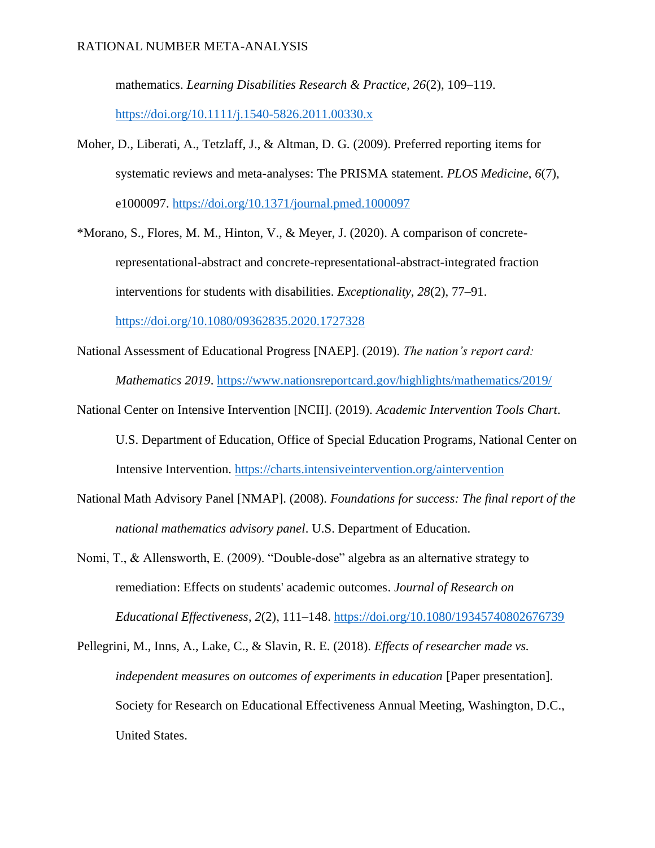mathematics. *Learning Disabilities Research & Practice, 26*(2), 109–119. <https://doi.org/10.1111/j.1540-5826.2011.00330.x>

- Moher, D., Liberati, A., Tetzlaff, J., & Altman, D. G. (2009). Preferred reporting items for systematic reviews and meta-analyses: The PRISMA statement. *PLOS Medicine*, *6*(7), e1000097.<https://doi.org/10.1371/journal.pmed.1000097>
- \*Morano, S., Flores, M. M., Hinton, V., & Meyer, J. (2020). A comparison of concreterepresentational-abstract and concrete-representational-abstract-integrated fraction interventions for students with disabilities. *Exceptionality, 28*(2), 77–91. <https://doi.org/10.1080/09362835.2020.1727328>
- National Assessment of Educational Progress [NAEP]. (2019). *The nation's report card: Mathematics 2019*.<https://www.nationsreportcard.gov/highlights/mathematics/2019/>
- National Center on Intensive Intervention [NCII]. (2019). *Academic Intervention Tools Chart*. U.S. Department of Education, Office of Special Education Programs, National Center on

Intensive Intervention.<https://charts.intensiveintervention.org/aintervention>

- National Math Advisory Panel [NMAP]. (2008). *Foundations for success: The final report of the national mathematics advisory panel*. U.S. Department of Education.
- Nomi, T., & Allensworth, E. (2009). "Double-dose" algebra as an alternative strategy to remediation: Effects on students' academic outcomes. *Journal of Research on Educational Effectiveness*, *2*(2), 111–148.<https://doi.org/10.1080/19345740802676739>

Pellegrini, M., Inns, A., Lake, C., & Slavin, R. E. (2018). *Effects of researcher made vs. independent measures on outcomes of experiments in education* [Paper presentation]. Society for Research on Educational Effectiveness Annual Meeting, Washington, D.C., United States.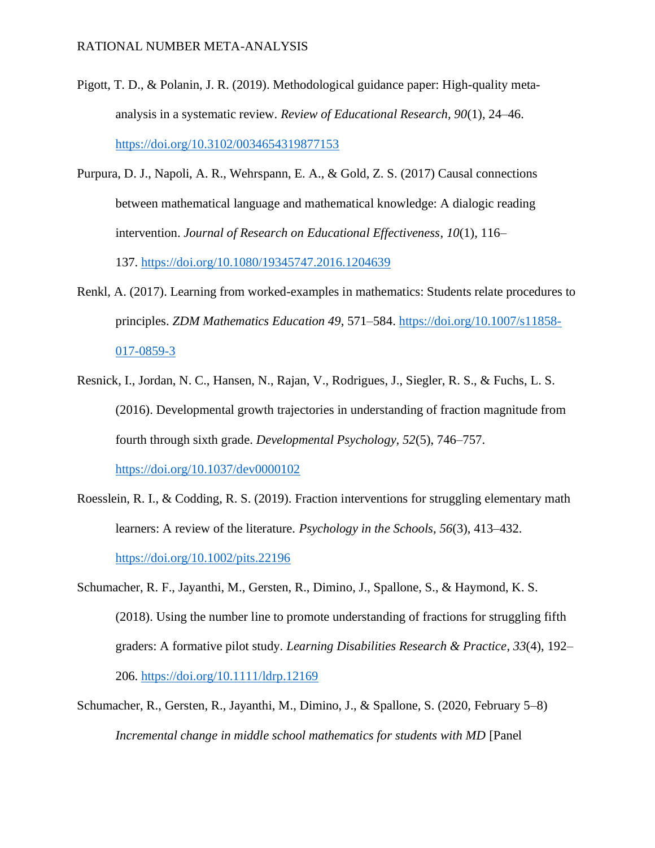- Pigott, T. D., & Polanin, J. R. (2019). Methodological guidance paper: High-quality metaanalysis in a systematic review. *Review of Educational Research, 90*(1), 24–46. <https://doi.org/10.3102/0034654319877153>
- Purpura, D. J., Napoli, A. R., Wehrspann, E. A., & Gold, Z. S. (2017) Causal connections between mathematical language and mathematical knowledge: A dialogic reading intervention. *Journal of Research on Educational Effectiveness*, *10*(1), 116–

137. <https://doi.org/10.1080/19345747.2016.1204639>

- Renkl, A. (2017). Learning from worked-examples in mathematics: Students relate procedures to principles. *ZDM Mathematics Education 49*, 571–584. [https://doi.org/10.1007/s11858-](https://doi.org/10.1007/s11858-017-0859-3) [017-0859-3](https://doi.org/10.1007/s11858-017-0859-3)
- Resnick, I., Jordan, N. C., Hansen, N., Rajan, V., Rodrigues, J., Siegler, R. S., & Fuchs, L. S. (2016). Developmental growth trajectories in understanding of fraction magnitude from fourth through sixth grade. *Developmental Psychology, 52*(5), 746–757. <https://doi.org/10.1037/dev0000102>
- Roesslein, R. I., & Codding, R. S. (2019). Fraction interventions for struggling elementary math learners: A review of the literature. *Psychology in the Schools, 56*(3), 413–432. <https://doi.org/10.1002/pits.22196>
- Schumacher, R. F., Jayanthi, M., Gersten, R., Dimino, J., Spallone, S., & Haymond, K. S. (2018). Using the number line to promote understanding of fractions for struggling fifth graders: A formative pilot study. *Learning Disabilities Research & Practice*, *33*(4), 192– 206.<https://doi.org/10.1111/ldrp.12169>
- Schumacher, R., Gersten, R., Jayanthi, M., Dimino, J., & Spallone, S. (2020, February 5–8) *Incremental change in middle school mathematics for students with MD* [Panel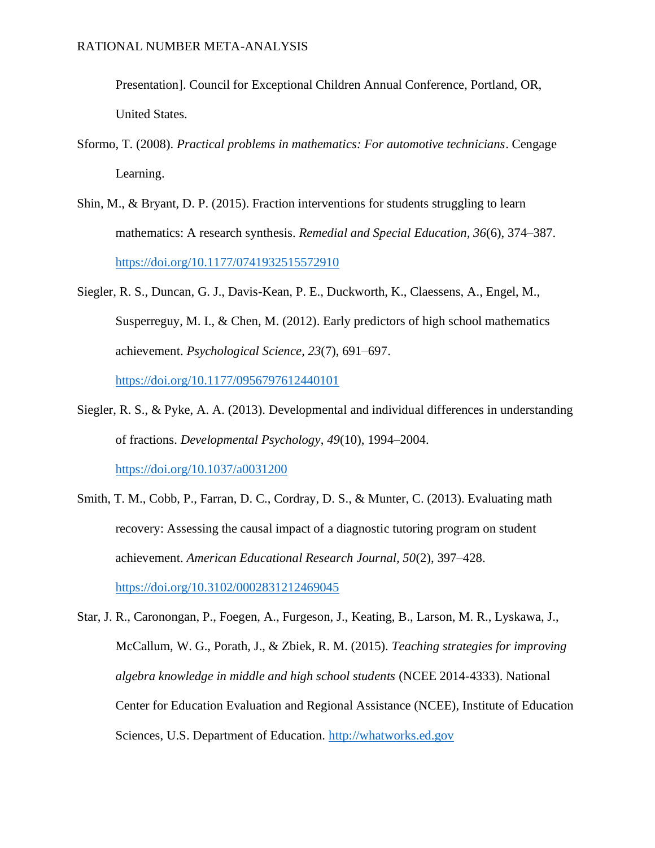Presentation]. Council for Exceptional Children Annual Conference, Portland, OR, United States.

- Sformo, T. (2008). *Practical problems in mathematics: For automotive technicians*. Cengage Learning.
- Shin, M., & Bryant, D. P. (2015). Fraction interventions for students struggling to learn mathematics: A research synthesis. *Remedial and Special Education, 36*(6), 374–387. <https://doi.org/10.1177/0741932515572910>
- Siegler, R. S., Duncan, G. J., Davis-Kean, P. E., Duckworth, K., Claessens, A., Engel, M., Susperreguy, M. I., & Chen, M. (2012). Early predictors of high school mathematics achievement. *Psychological Science*, *23*(7), 691–697. <https://doi.org/10.1177/0956797612440101>
- Siegler, R. S., & Pyke, A. A. (2013). Developmental and individual differences in understanding of fractions. *Developmental Psychology*, *49*(10), 1994–2004. <https://doi.org/10.1037/a0031200>
- Smith, T. M., Cobb, P., Farran, D. C., Cordray, D. S., & Munter, C. (2013). Evaluating math recovery: Assessing the causal impact of a diagnostic tutoring program on student achievement. *American Educational Research Journal, 50*(2), 397–428. <https://doi.org/10.3102/0002831212469045>
- Star, J. R., Caronongan, P., Foegen, A., Furgeson, J., Keating, B., Larson, M. R., Lyskawa, J., McCallum, W. G., Porath, J., & Zbiek, R. M. (2015). *Teaching strategies for improving algebra knowledge in middle and high school students* (NCEE 2014-4333). National Center for Education Evaluation and Regional Assistance (NCEE), Institute of Education Sciences, U.S. Department of Education. [http://whatworks.ed.gov](http://whatworks.ed.gov/)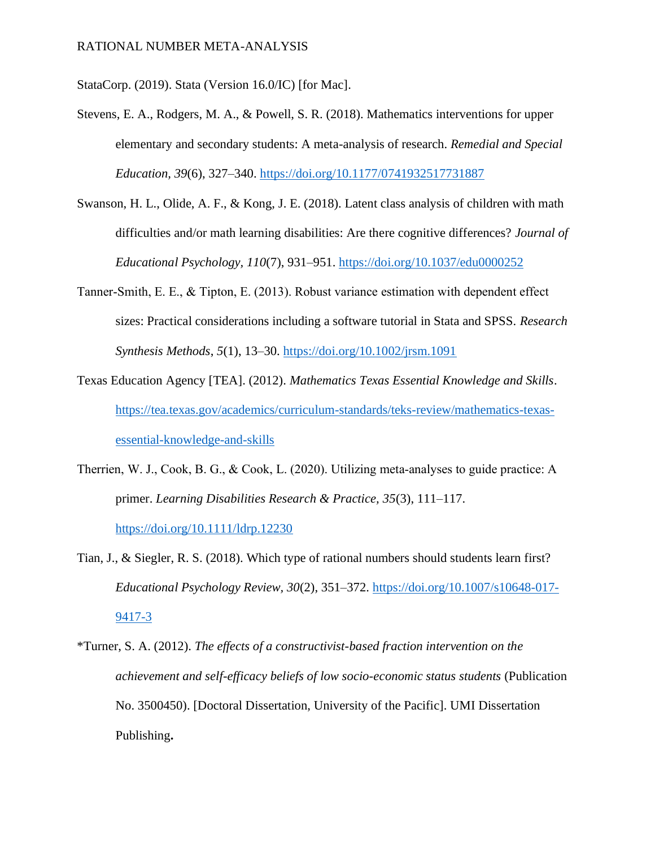StataCorp. (2019). Stata (Version 16.0/IC) [for Mac].

- Stevens, E. A., Rodgers, M. A., & Powell, S. R. (2018). Mathematics interventions for upper elementary and secondary students: A meta-analysis of research. *Remedial and Special Education, 39*(6), 327–340.<https://doi.org/10.1177/0741932517731887>
- Swanson, H. L., Olide, A. F., & Kong, J. E. (2018). Latent class analysis of children with math difficulties and/or math learning disabilities: Are there cognitive differences? *Journal of Educational Psychology, 110*(7), 931–951.<https://doi.org/10.1037/edu0000252>
- Tanner‐Smith, E. E., & Tipton, E. (2013). Robust variance estimation with dependent effect sizes: Practical considerations including a software tutorial in Stata and SPSS. *Research Synthesis Methods*, *5*(1), 13–30.<https://doi.org/10.1002/jrsm.1091>
- Texas Education Agency [TEA]. (2012). *Mathematics Texas Essential Knowledge and Skills*. [https://tea.texas.gov/academics/curriculum-standards/teks-review/mathematics-texas](https://tea.texas.gov/academics/curriculum-standards/teks-review/mathematics-texas-essential-knowledge-and-skills)[essential-knowledge-and-skills](https://tea.texas.gov/academics/curriculum-standards/teks-review/mathematics-texas-essential-knowledge-and-skills)
- Therrien, W. J., Cook, B. G., & Cook, L. (2020). Utilizing meta-analyses to guide practice: A primer. *Learning Disabilities Research & Practice, 35*(3), 111–117. <https://doi.org/10.1111/ldrp.12230>
- Tian, J., & Siegler, R. S. (2018). Which type of rational numbers should students learn first? *Educational Psychology Review, 30*(2), 351–372. [https://doi.org/10.1007/s10648-017-](https://doi.org/10.1007/s10648-017-9417-3) [9417-3](https://doi.org/10.1007/s10648-017-9417-3)
- \*Turner, S. A. (2012). *The effects of a constructivist-based fraction intervention on the achievement and self-efficacy beliefs of low socio-economic status students* (Publication No. 3500450). [Doctoral Dissertation, University of the Pacific]. UMI Dissertation Publishing**.**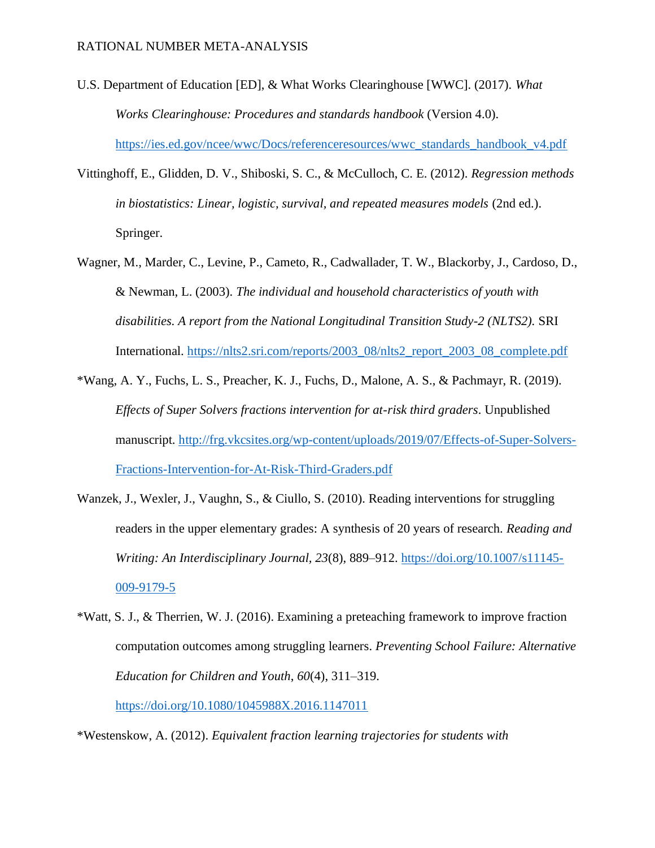- U.S. Department of Education [ED], & What Works Clearinghouse [WWC]. (2017). *What Works Clearinghouse: Procedures and standards handbook* (Version 4.0). [https://ies.ed.gov/ncee/wwc/Docs/referenceresources/wwc\\_standards\\_handbook\\_v4.pdf](https://ies.ed.gov/ncee/wwc/Docs/referenceresources/wwc_standards_handbook_v4.pdf)
- Vittinghoff, E., Glidden, D. V., Shiboski, S. C., & McCulloch, C. E. (2012). *Regression methods in biostatistics: Linear, logistic, survival, and repeated measures models* (2nd ed.). Springer.
- Wagner, M., Marder, C., Levine, P., Cameto, R., Cadwallader, T. W., Blackorby, J., Cardoso, D., & Newman, L. (2003). *The individual and household characteristics of youth with disabilities. A report from the National Longitudinal Transition Study-2 (NLTS2).* SRI International. [https://nlts2.sri.com/reports/2003\\_08/nlts2\\_report\\_2003\\_08\\_complete.pdf](https://nlts2.sri.com/reports/2003_08/nlts2_report_2003_08_complete.pdf)
- \*Wang, A. Y., Fuchs, L. S., Preacher, K. J., Fuchs, D., Malone, A. S., & Pachmayr, R. (2019). *Effects of Super Solvers fractions intervention for at-risk third graders*. Unpublished manuscript. [http://frg.vkcsites.org/wp-content/uploads/2019/07/Effects-of-Super-Solvers-](http://frg.vkcsites.org/wp-content/uploads/2019/07/Effects-of-Super-Solvers-Fractions-Intervention-for-At-Risk-Third-Graders.pdf)[Fractions-Intervention-for-At-Risk-Third-Graders.pdf](http://frg.vkcsites.org/wp-content/uploads/2019/07/Effects-of-Super-Solvers-Fractions-Intervention-for-At-Risk-Third-Graders.pdf)
- Wanzek, J., Wexler, J., Vaughn, S., & Ciullo, S. (2010). Reading interventions for struggling readers in the upper elementary grades: A synthesis of 20 years of research. *Reading and Writing: An Interdisciplinary Journal, 23*(8), 889–912. [https://doi.org/10.1007/s11145-](https://doi.org/10.1007/s11145-009-9179-5) [009-9179-5](https://doi.org/10.1007/s11145-009-9179-5)
- \*Watt, S. J., & Therrien, W. J. (2016). Examining a preteaching framework to improve fraction computation outcomes among struggling learners. *Preventing School Failure: Alternative Education for Children and Youth*, *60*(4), 311–319.

<https://doi.org/10.1080/1045988X.2016.1147011>

\*Westenskow, A. (2012). *Equivalent fraction learning trajectories for students with*